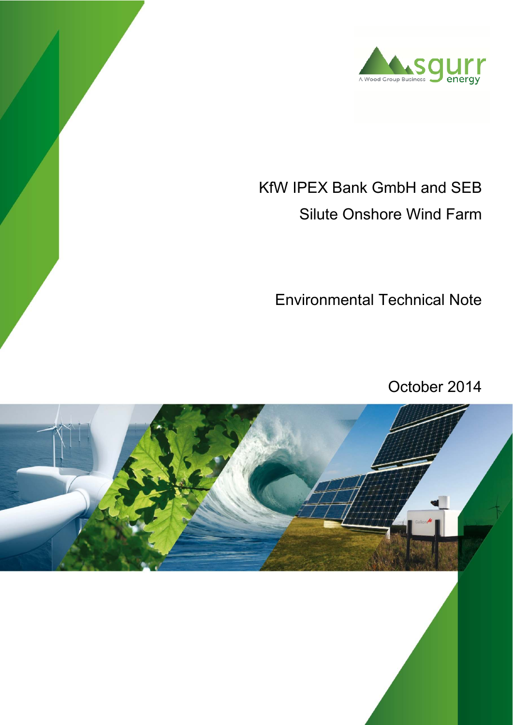

# KfW IPEX Bank GmbH and SEB Silute Onshore Wind Farm

Environmental Technical Note

October 2014

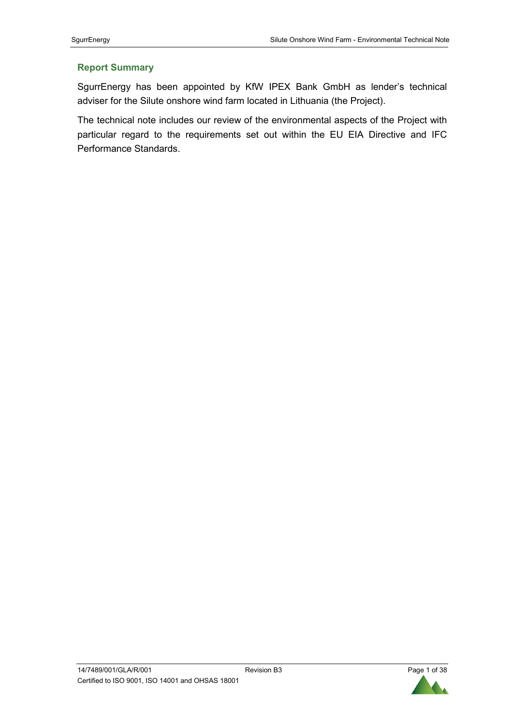## **Report Summary**

SgurrEnergy has been appointed by KfW IPEX Bank GmbH as lender's technical adviser for the Silute onshore wind farm located in Lithuania (the Project).

The technical note includes our review of the environmental aspects of the Project with particular regard to the requirements set out within the EU EIA Directive and IFC Performance Standards.

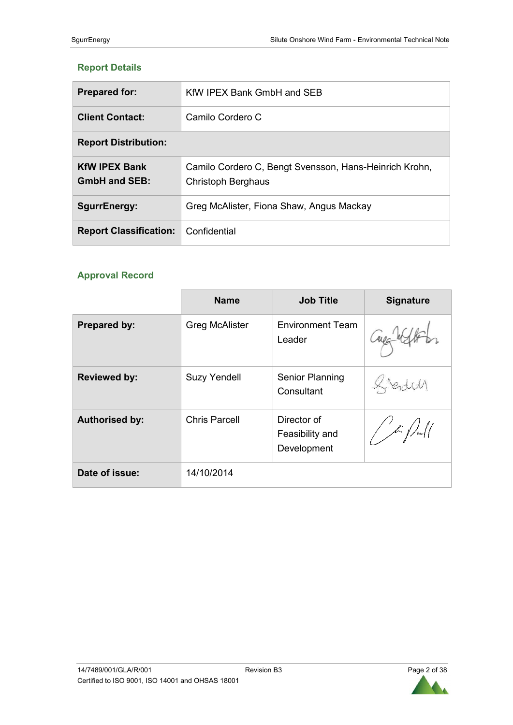# **Report Details**

| <b>Prepared for:</b>                         | KfW IPEX Bank GmbH and SEB                                                          |
|----------------------------------------------|-------------------------------------------------------------------------------------|
| <b>Client Contact:</b>                       | Camilo Cordero C                                                                    |
| <b>Report Distribution:</b>                  |                                                                                     |
| <b>KfW IPEX Bank</b><br><b>GmbH and SEB:</b> | Camilo Cordero C, Bengt Svensson, Hans-Heinrich Krohn,<br><b>Christoph Berghaus</b> |
| <b>SgurrEnergy:</b>                          | Greg McAlister, Fiona Shaw, Angus Mackay                                            |
| <b>Report Classification:</b>                | Confidential                                                                        |

# **Approval Record**

|                       | <b>Name</b>           | <b>Job Title</b>                              | <b>Signature</b>                            |
|-----------------------|-----------------------|-----------------------------------------------|---------------------------------------------|
| Prepared by:          | <b>Greg McAlister</b> | <b>Environment Team</b><br>Leader             |                                             |
| <b>Reviewed by:</b>   | <b>Suzy Yendell</b>   | Senior Planning<br>Consultant                 |                                             |
| <b>Authorised by:</b> | <b>Chris Parcell</b>  | Director of<br>Feasibility and<br>Development | $\frac{1}{\sqrt{2}}\int_{-\infty}^{\infty}$ |
| Date of issue:        | 14/10/2014            |                                               |                                             |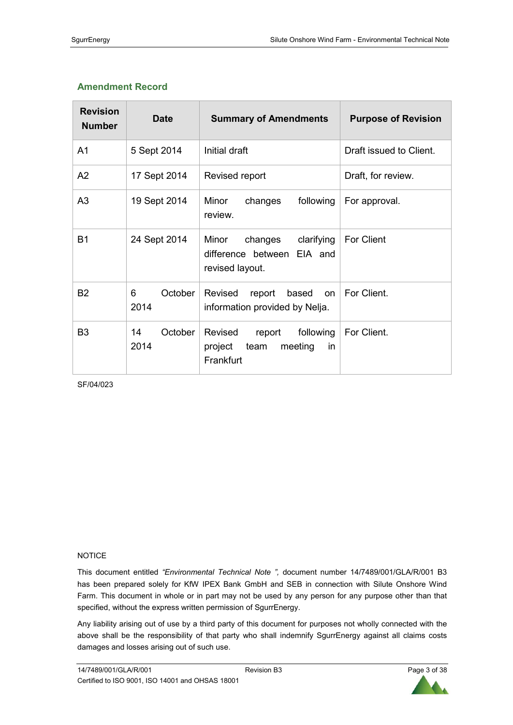# **Amendment Record**

| <b>Revision</b><br><b>Number</b> | <b>Date</b>           | <b>Summary of Amendments</b>                                                    | <b>Purpose of Revision</b> |
|----------------------------------|-----------------------|---------------------------------------------------------------------------------|----------------------------|
| A <sub>1</sub>                   | 5 Sept 2014           | Initial draft                                                                   | Draft issued to Client.    |
| A2                               | 17 Sept 2014          | Revised report                                                                  | Draft, for review.         |
| A <sub>3</sub>                   | 19 Sept 2014          | Minor<br>following<br>changes<br>review.                                        | For approval.              |
| <b>B1</b>                        | 24 Sept 2014          | Minor<br>clarifying<br>changes<br>difference between EIA and<br>revised layout. | <b>For Client</b>          |
| <b>B2</b>                        | 6<br>October<br>2014  | Revised<br>report<br>based<br>on<br>information provided by Nelja.              | For Client.                |
| B <sub>3</sub>                   | 14<br>October<br>2014 | Revised<br>report<br>following<br>project<br>team<br>meeting<br>in<br>Frankfurt | For Client.                |

SF/04/023

#### NOTICE

This document entitled *"Environmental Technical Note ",* document number 14/7489/001/GLA/R/001 B3 has been prepared solely for KfW IPEX Bank GmbH and SEB in connection with Silute Onshore Wind Farm. This document in whole or in part may not be used by any person for any purpose other than that specified, without the express written permission of SgurrEnergy.

Any liability arising out of use by a third party of this document for purposes not wholly connected with the above shall be the responsibility of that party who shall indemnify SgurrEnergy against all claims costs damages and losses arising out of such use.

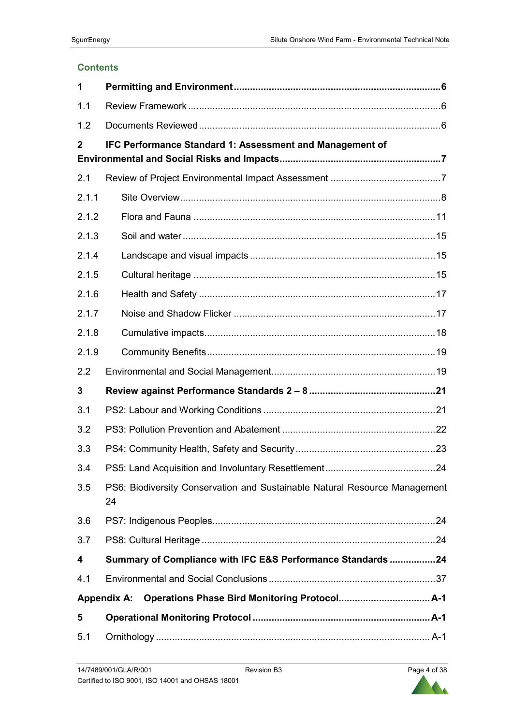#### **Contents**

| 1              |                                                                                  |
|----------------|----------------------------------------------------------------------------------|
| 1.1            |                                                                                  |
| 1.2            |                                                                                  |
| $\overline{2}$ | IFC Performance Standard 1: Assessment and Management of                         |
| 2.1            |                                                                                  |
| 2.1.1          |                                                                                  |
| 2.1.2          |                                                                                  |
| 2.1.3          |                                                                                  |
| 2.1.4          |                                                                                  |
| 2.1.5          |                                                                                  |
| 2.1.6          |                                                                                  |
| 2.1.7          |                                                                                  |
| 2.1.8          |                                                                                  |
| 2.1.9          |                                                                                  |
| 2.2            |                                                                                  |
| 3              |                                                                                  |
| 3.1            |                                                                                  |
| 3.2            |                                                                                  |
| 3.3            |                                                                                  |
| 3.4            |                                                                                  |
| 3.5            | PS6: Biodiversity Conservation and Sustainable Natural Resource Management<br>24 |
| 3.6            |                                                                                  |
| 3.7            |                                                                                  |
| 4              | Summary of Compliance with IFC E&S Performance Standards 24                      |
| 4.1            |                                                                                  |
|                | <b>Appendix A:</b>                                                               |
| 5              |                                                                                  |
| 5.1            |                                                                                  |

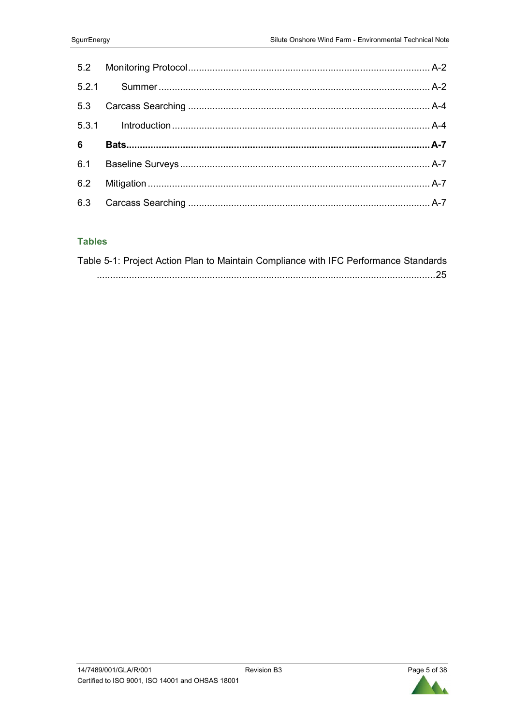# **Tables**

| Table 5-1: Project Action Plan to Maintain Compliance with IFC Performance Standards |  |
|--------------------------------------------------------------------------------------|--|
|                                                                                      |  |

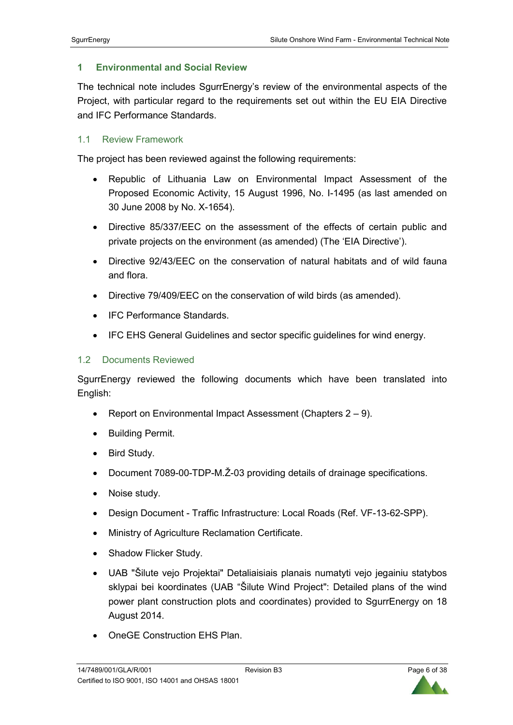## **1 Environmental and Social Review**

The technical note includes SgurrEnergy's review of the environmental aspects of the Project, with particular regard to the requirements set out within the EU EIA Directive and IFC Performance Standards.

## 1.1 Review Framework

The project has been reviewed against the following requirements:

- Republic of Lithuania Law on Environmental Impact Assessment of the Proposed Economic Activity, 15 August 1996, No. I-1495 (as last amended on 30 June 2008 by No. X-1654).
- Directive 85/337/EEC on the assessment of the effects of certain public and private projects on the environment (as amended) (The 'EIA Directive').
- Directive 92/43/EEC on the conservation of natural habitats and of wild fauna and flora.
- Directive 79/409/EEC on the conservation of wild birds (as amended).
- IFC Performance Standards.
- IFC EHS General Guidelines and sector specific guidelines for wind energy.

#### 1.2 Documents Reviewed

SgurrEnergy reviewed the following documents which have been translated into English:

- Report on Environmental Impact Assessment (Chapters 2 9).
- Building Permit.
- Bird Study.
- Document 7089-00-TDP-M.Ž-03 providing details of drainage specifications.
- Noise study.
- Design Document Traffic Infrastructure: Local Roads (Ref. VF-13-62-SPP).
- Ministry of Agriculture Reclamation Certificate.
- Shadow Flicker Study.
- UAB "Šilute vejo Projektai" Detaliaisiais planais numatyti vejo jegainiu statybos sklypai bei koordinates (UAB "Šilute Wind Project": Detailed plans of the wind power plant construction plots and coordinates) provided to SgurrEnergy on 18 August 2014.
- OneGE Construction EHS Plan.

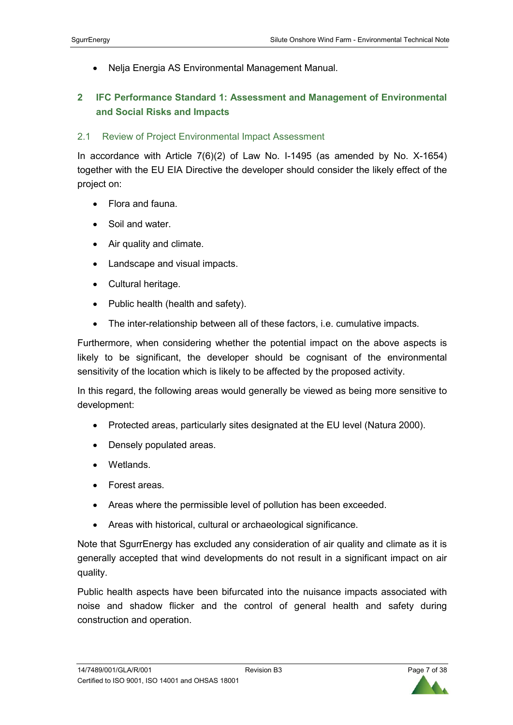• Nelja Energia AS Environmental Management Manual.

# **2 IFC Performance Standard 1: Assessment and Management of Environmental and Social Risks and Impacts**

# 2.1 Review of Project Environmental Impact Assessment

In accordance with Article 7(6)(2) of Law No. I-1495 (as amended by No. X-1654) together with the EU EIA Directive the developer should consider the likely effect of the project on:

- Flora and fauna.
- Soil and water.
- Air quality and climate.
- Landscape and visual impacts.
- Cultural heritage.
- Public health (health and safety).
- The inter-relationship between all of these factors, i.e. cumulative impacts.

Furthermore, when considering whether the potential impact on the above aspects is likely to be significant, the developer should be cognisant of the environmental sensitivity of the location which is likely to be affected by the proposed activity.

In this regard, the following areas would generally be viewed as being more sensitive to development:

- Protected areas, particularly sites designated at the EU level (Natura 2000).
- Densely populated areas.
- Wetlands.
- Forest areas.
- Areas where the permissible level of pollution has been exceeded.
- Areas with historical, cultural or archaeological significance.

Note that SgurrEnergy has excluded any consideration of air quality and climate as it is generally accepted that wind developments do not result in a significant impact on air quality.

Public health aspects have been bifurcated into the nuisance impacts associated with noise and shadow flicker and the control of general health and safety during construction and operation.

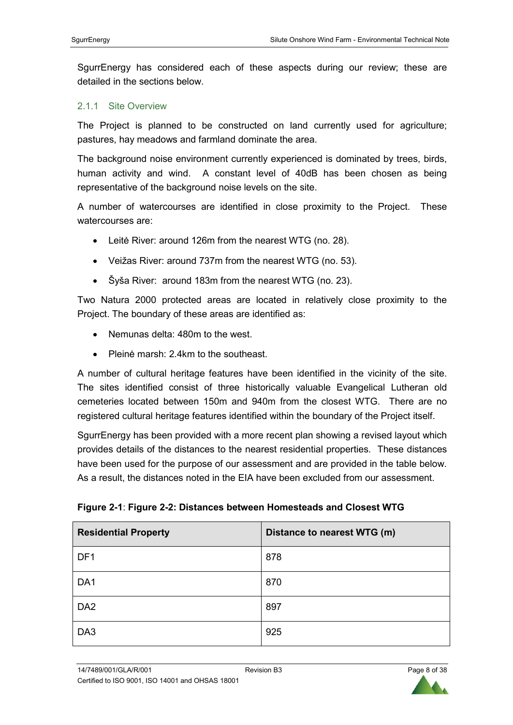SgurrEnergy has considered each of these aspects during our review; these are detailed in the sections below.

#### 2.1.1 Site Overview

The Project is planned to be constructed on land currently used for agriculture; pastures, hay meadows and farmland dominate the area.

The background noise environment currently experienced is dominated by trees, birds, human activity and wind. A constant level of 40dB has been chosen as being representative of the background noise levels on the site.

A number of watercourses are identified in close proximity to the Project. These watercourses are:

- Leitė River: around 126m from the nearest WTG (no. 28).
- Veižas River: around 737m from the nearest WTG (no. 53).
- Šyša River: around 183m from the nearest WTG (no. 23).

Two Natura 2000 protected areas are located in relatively close proximity to the Project. The boundary of these areas are identified as:

- Nemunas delta: 480m to the west.
- Pleinė marsh: 2.4km to the southeast.

A number of cultural heritage features have been identified in the vicinity of the site. The sites identified consist of three historically valuable Evangelical Lutheran old cemeteries located between 150m and 940m from the closest WTG. There are no registered cultural heritage features identified within the boundary of the Project itself.

SgurrEnergy has been provided with a more recent plan showing a revised layout which provides details of the distances to the nearest residential properties. These distances have been used for the purpose of our assessment and are provided in the table below. As a result, the distances noted in the EIA have been excluded from our assessment.

| <b>Residential Property</b> | Distance to nearest WTG (m) |
|-----------------------------|-----------------------------|
| DF1                         | 878                         |
| DA1                         | 870                         |
| DA <sub>2</sub>             | 897                         |
| DA3                         | 925                         |

**Figure 2-1**: **Figure 2-2: Distances between Homesteads and Closest WTG**

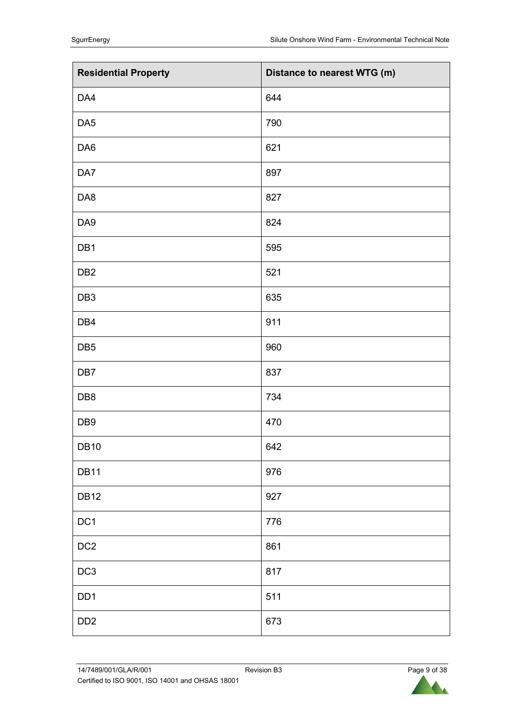| <b>Residential Property</b> | Distance to nearest WTG (m) |
|-----------------------------|-----------------------------|
| DA4                         | 644                         |
| DA <sub>5</sub>             | 790                         |
| DA6                         | 621                         |
| DA7                         | 897                         |
| DA8                         | 827                         |
| DA9                         | 824                         |
| DB1                         | 595                         |
| DB <sub>2</sub>             | 521                         |
| DB <sub>3</sub>             | 635                         |
| DB4                         | 911                         |
| DB <sub>5</sub>             | 960                         |
| DB7                         | 837                         |
| DB8                         | 734                         |
| DB <sub>9</sub>             | 470                         |
| <b>DB10</b>                 | 642                         |
| <b>DB11</b>                 | 976                         |
| <b>DB12</b>                 | 927                         |
| DC1                         | 776                         |
| DC2                         | 861                         |
| DC <sub>3</sub>             | 817                         |
| DD <sub>1</sub>             | 511                         |
| DD <sub>2</sub>             | 673                         |

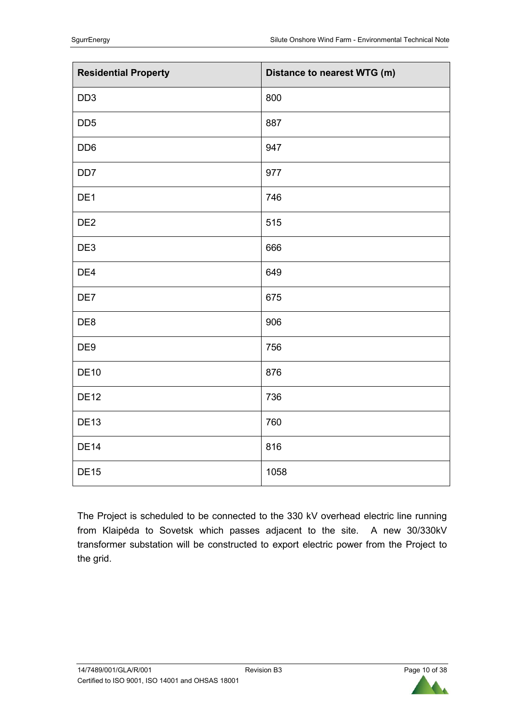| <b>Residential Property</b> | Distance to nearest WTG (m) |
|-----------------------------|-----------------------------|
| DD <sub>3</sub>             | 800                         |
| DD <sub>5</sub>             | 887                         |
| DD <sub>6</sub>             | 947                         |
| DD <sub>7</sub>             | 977                         |
| DE1                         | 746                         |
| DE <sub>2</sub>             | 515                         |
| DE3                         | 666                         |
| DE4                         | 649                         |
| DE7                         | 675                         |
| DE8                         | 906                         |
| DE9                         | 756                         |
| <b>DE10</b>                 | 876                         |
| <b>DE12</b>                 | 736                         |
| <b>DE13</b>                 | 760                         |
| <b>DE14</b>                 | 816                         |
| <b>DE15</b>                 | 1058                        |

The Project is scheduled to be connected to the 330 kV overhead electric line running from Klaipėda to Sovetsk which passes adjacent to the site. A new 30/330kV transformer substation will be constructed to export electric power from the Project to the grid.

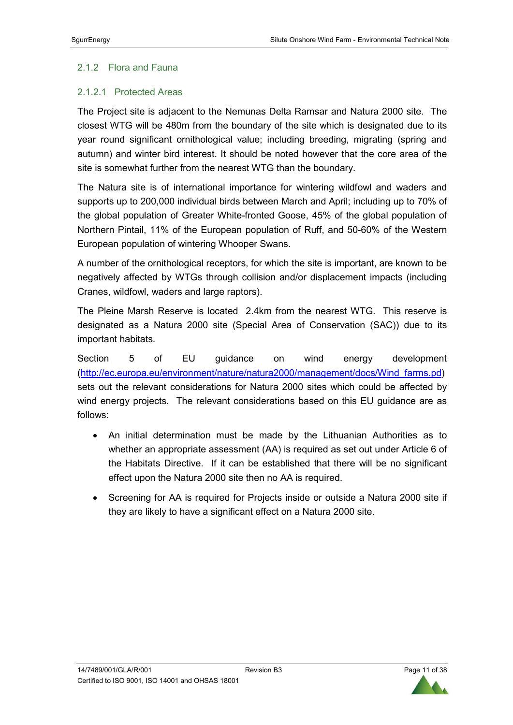# 2.1.2 Flora and Fauna

# 2.1.2.1 Protected Areas

The Project site is adjacent to the Nemunas Delta Ramsar and Natura 2000 site. The closest WTG will be 480m from the boundary of the site which is designated due to its year round significant ornithological value; including breeding, migrating (spring and autumn) and winter bird interest. It should be noted however that the core area of the site is somewhat further from the nearest WTG than the boundary.

The Natura site is of international importance for wintering wildfowl and waders and supports up to 200,000 individual birds between March and April; including up to 70% of the global population of Greater White-fronted Goose, 45% of the global population of Northern Pintail, 11% of the European population of Ruff, and 50-60% of the Western European population of wintering Whooper Swans.

A number of the ornithological receptors, for which the site is important, are known to be negatively affected by WTGs through collision and/or displacement impacts (including Cranes, wildfowl, waders and large raptors).

The Pleine Marsh Reserve is located 2.4km from the nearest WTG. This reserve is designated as a Natura 2000 site (Special Area of Conservation (SAC)) due to its important habitats.

Section 5 of EU guidance on wind energy development (http://ec.europa.eu/environment/nature/natura2000/management/docs/Wind\_farms.pd) sets out the relevant considerations for Natura 2000 sites which could be affected by wind energy projects. The relevant considerations based on this EU guidance are as follows:

- An initial determination must be made by the Lithuanian Authorities as to whether an appropriate assessment (AA) is required as set out under Article 6 of the Habitats Directive. If it can be established that there will be no significant effect upon the Natura 2000 site then no AA is required.
- Screening for AA is required for Projects inside or outside a Natura 2000 site if they are likely to have a significant effect on a Natura 2000 site.

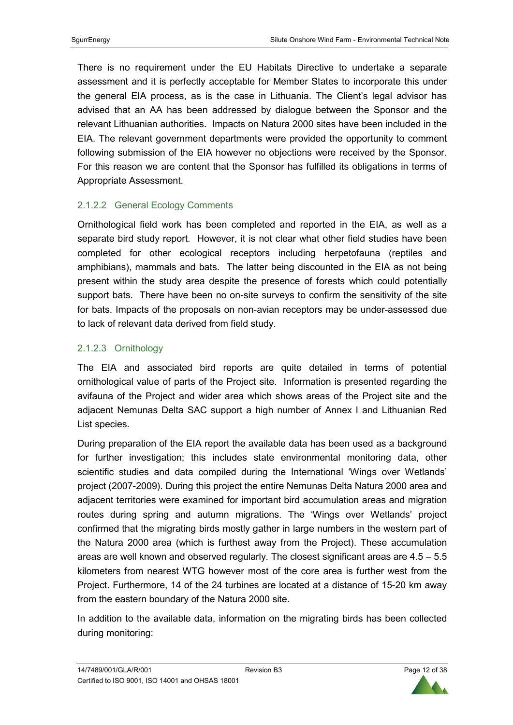There is no requirement under the EU Habitats Directive to undertake a separate assessment and it is perfectly acceptable for Member States to incorporate this under the general EIA process, as is the case in Lithuania. The Client's legal advisor has advised that an AA has been addressed by dialogue between the Sponsor and the relevant Lithuanian authorities. Impacts on Natura 2000 sites have been included in the EIA. The relevant government departments were provided the opportunity to comment following submission of the EIA however no objections were received by the Sponsor. For this reason we are content that the Sponsor has fulfilled its obligations in terms of Appropriate Assessment.

# 2.1.2.2 General Ecology Comments

Ornithological field work has been completed and reported in the EIA, as well as a separate bird study report. However, it is not clear what other field studies have been completed for other ecological receptors including herpetofauna (reptiles and amphibians), mammals and bats. The latter being discounted in the EIA as not being present within the study area despite the presence of forests which could potentially support bats. There have been no on-site surveys to confirm the sensitivity of the site for bats. Impacts of the proposals on non-avian receptors may be under-assessed due to lack of relevant data derived from field study.

# 2.1.2.3 Ornithology

The EIA and associated bird reports are quite detailed in terms of potential ornithological value of parts of the Project site. Information is presented regarding the avifauna of the Project and wider area which shows areas of the Project site and the adjacent Nemunas Delta SAC support a high number of Annex I and Lithuanian Red List species.

During preparation of the EIA report the available data has been used as a background for further investigation; this includes state environmental monitoring data, other scientific studies and data compiled during the International 'Wings over Wetlands' project (2007-2009). During this project the entire Nemunas Delta Natura 2000 area and adjacent territories were examined for important bird accumulation areas and migration routes during spring and autumn migrations. The 'Wings over Wetlands' project confirmed that the migrating birds mostly gather in large numbers in the western part of the Natura 2000 area (which is furthest away from the Project). These accumulation areas are well known and observed regularly. The closest significant areas are  $4.5 - 5.5$ kilometers from nearest WTG however most of the core area is further west from the Project. Furthermore, 14 of the 24 turbines are located at a distance of 15-20 km away from the eastern boundary of the Natura 2000 site.

In addition to the available data, information on the migrating birds has been collected during monitoring:

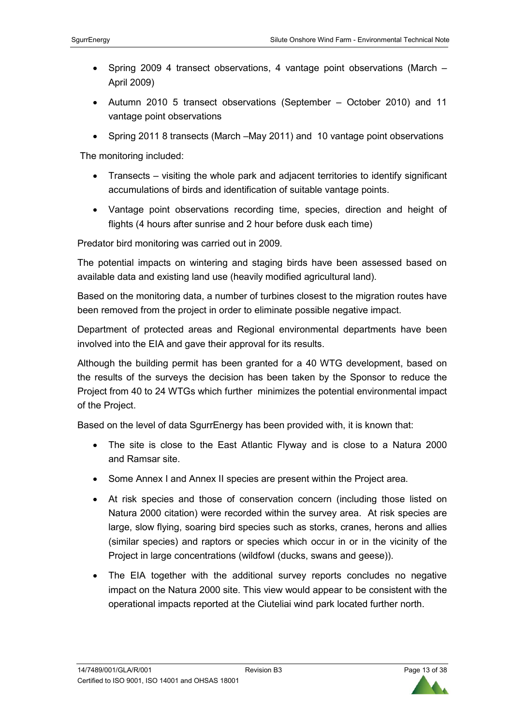- Spring 2009 4 transect observations, 4 vantage point observations (March April 2009)
- Autumn 2010 5 transect observations (September October 2010) and 11 vantage point observations
- Spring 2011 8 transects (March –May 2011) and 10 vantage point observations

The monitoring included:

- Transects visiting the whole park and adjacent territories to identify significant accumulations of birds and identification of suitable vantage points.
- Vantage point observations recording time, species, direction and height of flights (4 hours after sunrise and 2 hour before dusk each time)

Predator bird monitoring was carried out in 2009.

The potential impacts on wintering and staging birds have been assessed based on available data and existing land use (heavily modified agricultural land).

Based on the monitoring data, a number of turbines closest to the migration routes have been removed from the project in order to eliminate possible negative impact.

Department of protected areas and Regional environmental departments have been involved into the EIA and gave their approval for its results.

Although the building permit has been granted for a 40 WTG development, based on the results of the surveys the decision has been taken by the Sponsor to reduce the Project from 40 to 24 WTGs which further minimizes the potential environmental impact of the Project.

Based on the level of data SgurrEnergy has been provided with, it is known that:

- The site is close to the East Atlantic Flyway and is close to a Natura 2000 and Ramsar site.
- Some Annex I and Annex II species are present within the Project area.
- At risk species and those of conservation concern (including those listed on Natura 2000 citation) were recorded within the survey area. At risk species are large, slow flying, soaring bird species such as storks, cranes, herons and allies (similar species) and raptors or species which occur in or in the vicinity of the Project in large concentrations (wildfowl (ducks, swans and geese)).
- The EIA together with the additional survey reports concludes no negative impact on the Natura 2000 site. This view would appear to be consistent with the operational impacts reported at the Ciuteliai wind park located further north.

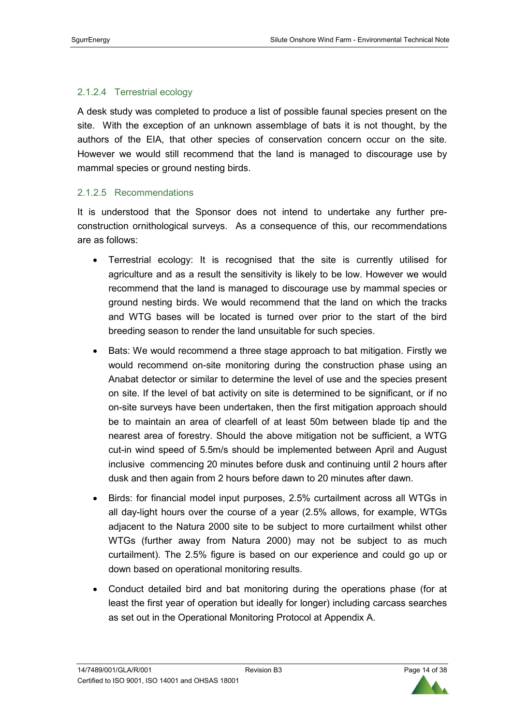## 2.1.2.4 Terrestrial ecology

A desk study was completed to produce a list of possible faunal species present on the site. With the exception of an unknown assemblage of bats it is not thought, by the authors of the EIA, that other species of conservation concern occur on the site. However we would still recommend that the land is managed to discourage use by mammal species or ground nesting birds.

## 2.1.2.5 Recommendations

It is understood that the Sponsor does not intend to undertake any further preconstruction ornithological surveys. As a consequence of this, our recommendations are as follows:

- Terrestrial ecology: It is recognised that the site is currently utilised for agriculture and as a result the sensitivity is likely to be low. However we would recommend that the land is managed to discourage use by mammal species or ground nesting birds. We would recommend that the land on which the tracks and WTG bases will be located is turned over prior to the start of the bird breeding season to render the land unsuitable for such species.
- Bats: We would recommend a three stage approach to bat mitigation. Firstly we would recommend on-site monitoring during the construction phase using an Anabat detector or similar to determine the level of use and the species present on site. If the level of bat activity on site is determined to be significant, or if no on-site surveys have been undertaken, then the first mitigation approach should be to maintain an area of clearfell of at least 50m between blade tip and the nearest area of forestry. Should the above mitigation not be sufficient, a WTG cut-in wind speed of 5.5m/s should be implemented between April and August inclusive commencing 20 minutes before dusk and continuing until 2 hours after dusk and then again from 2 hours before dawn to 20 minutes after dawn.
- Birds: for financial model input purposes, 2.5% curtailment across all WTGs in all day-light hours over the course of a year (2.5% allows, for example, WTGs adjacent to the Natura 2000 site to be subject to more curtailment whilst other WTGs (further away from Natura 2000) may not be subject to as much curtailment). The 2.5% figure is based on our experience and could go up or down based on operational monitoring results.
- Conduct detailed bird and bat monitoring during the operations phase (for at least the first year of operation but ideally for longer) including carcass searches as set out in the Operational Monitoring Protocol at Appendix A.

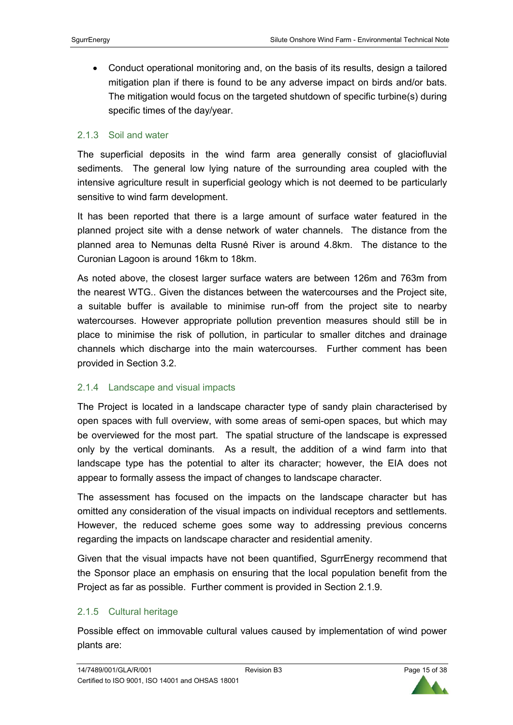• Conduct operational monitoring and, on the basis of its results, design a tailored mitigation plan if there is found to be any adverse impact on birds and/or bats. The mitigation would focus on the targeted shutdown of specific turbine(s) during specific times of the day/year.

#### 2.1.3 Soil and water

The superficial deposits in the wind farm area generally consist of glaciofluvial sediments. The general low lying nature of the surrounding area coupled with the intensive agriculture result in superficial geology which is not deemed to be particularly sensitive to wind farm development.

It has been reported that there is a large amount of surface water featured in the planned project site with a dense network of water channels. The distance from the planned area to Nemunas delta Rusnė River is around 4.8km. The distance to the Curonian Lagoon is around 16km to 18km.

As noted above, the closest larger surface waters are between 126m and 763m from the nearest WTG.. Given the distances between the watercourses and the Project site, a suitable buffer is available to minimise run-off from the project site to nearby watercourses. However appropriate pollution prevention measures should still be in place to minimise the risk of pollution, in particular to smaller ditches and drainage channels which discharge into the main watercourses. Further comment has been provided in Section 3.2.

## 2.1.4 Landscape and visual impacts

The Project is located in a landscape character type of sandy plain characterised by open spaces with full overview, with some areas of semi-open spaces, but which may be overviewed for the most part. The spatial structure of the landscape is expressed only by the vertical dominants. As a result, the addition of a wind farm into that landscape type has the potential to alter its character; however, the EIA does not appear to formally assess the impact of changes to landscape character.

The assessment has focused on the impacts on the landscape character but has omitted any consideration of the visual impacts on individual receptors and settlements. However, the reduced scheme goes some way to addressing previous concerns regarding the impacts on landscape character and residential amenity.

Given that the visual impacts have not been quantified, SgurrEnergy recommend that the Sponsor place an emphasis on ensuring that the local population benefit from the Project as far as possible. Further comment is provided in Section 2.1.9.

#### 2.1.5 Cultural heritage

Possible effect on immovable cultural values caused by implementation of wind power plants are:

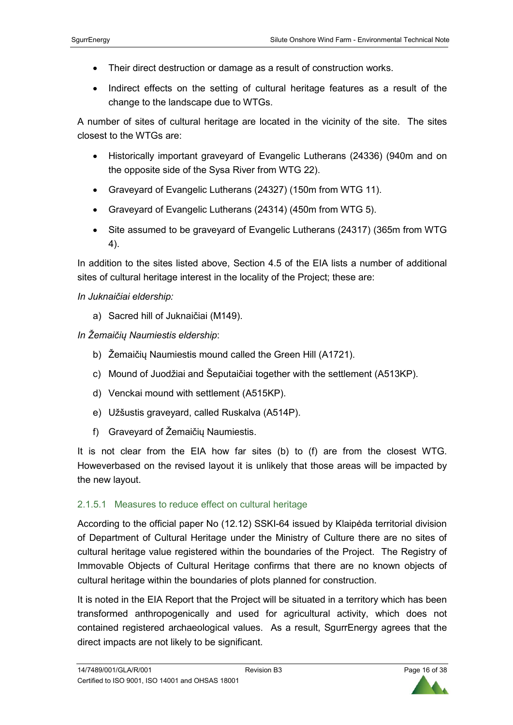- Their direct destruction or damage as a result of construction works.
- Indirect effects on the setting of cultural heritage features as a result of the change to the landscape due to WTGs.

A number of sites of cultural heritage are located in the vicinity of the site. The sites closest to the WTGs are:

- Historically important graveyard of Evangelic Lutherans (24336) (940m and on the opposite side of the Sysa River from WTG 22).
- Graveyard of Evangelic Lutherans (24327) (150m from WTG 11).
- Graveyard of Evangelic Lutherans (24314) (450m from WTG 5).
- Site assumed to be graveyard of Evangelic Lutherans (24317) (365m from WTG 4).

In addition to the sites listed above, Section 4.5 of the EIA lists a number of additional sites of cultural heritage interest in the locality of the Project; these are:

*In Juknaičiai eldership:* 

a) Sacred hill of Juknaičiai (M149).

*In Žemaičių Naumiestis eldership*:

- b) Žemaičių Naumiestis mound called the Green Hill (A1721).
- c) Mound of Juodžiai and Šeputaičiai together with the settlement (A513KP).
- d) Venckai mound with settlement (A515KP).
- e) Užšustis graveyard, called Ruskalva (A514P).
- f) Graveyard of Žemaičių Naumiestis.

It is not clear from the EIA how far sites (b) to (f) are from the closest WTG. Howeverbased on the revised layout it is unlikely that those areas will be impacted by the new layout.

## 2.1.5.1 Measures to reduce effect on cultural heritage

According to the official paper No (12.12) SSKI-64 issued by Klaipėda territorial division of Department of Cultural Heritage under the Ministry of Culture there are no sites of cultural heritage value registered within the boundaries of the Project. The Registry of Immovable Objects of Cultural Heritage confirms that there are no known objects of cultural heritage within the boundaries of plots planned for construction.

It is noted in the EIA Report that the Project will be situated in a territory which has been transformed anthropogenically and used for agricultural activity, which does not contained registered archaeological values. As a result, SgurrEnergy agrees that the direct impacts are not likely to be significant.

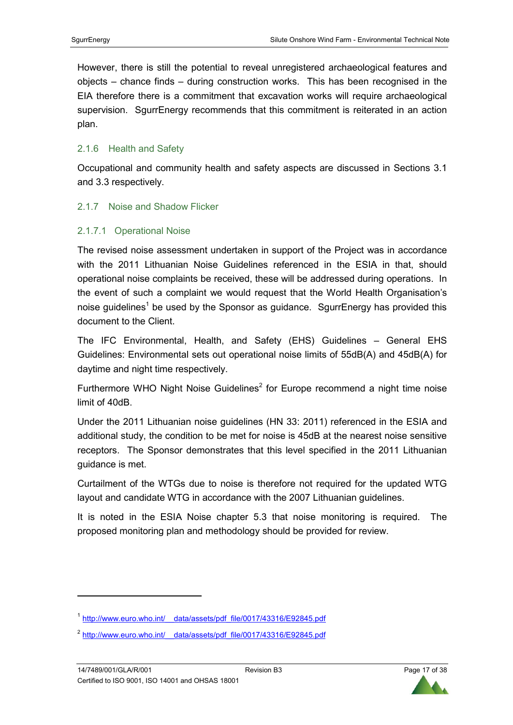However, there is still the potential to reveal unregistered archaeological features and objects – chance finds – during construction works. This has been recognised in the EIA therefore there is a commitment that excavation works will require archaeological supervision. SgurrEnergy recommends that this commitment is reiterated in an action plan.

## 2.1.6 Health and Safety

Occupational and community health and safety aspects are discussed in Sections 3.1 and 3.3 respectively.

#### 2.1.7 Noise and Shadow Flicker

## 2.1.7.1 Operational Noise

The revised noise assessment undertaken in support of the Project was in accordance with the 2011 Lithuanian Noise Guidelines referenced in the ESIA in that, should operational noise complaints be received, these will be addressed during operations. In the event of such a complaint we would request that the World Health Organisation's noise guidelines<sup>1</sup> be used by the Sponsor as guidance. SgurrEnergy has provided this document to the Client.

The IFC Environmental, Health, and Safety (EHS) Guidelines – General EHS Guidelines: Environmental sets out operational noise limits of 55dB(A) and 45dB(A) for daytime and night time respectively.

Furthermore WHO Night Noise Guidelines<sup>2</sup> for Europe recommend a night time noise limit of 40dB.

Under the 2011 Lithuanian noise guidelines (HN 33: 2011) referenced in the ESIA and additional study, the condition to be met for noise is 45dB at the nearest noise sensitive receptors. The Sponsor demonstrates that this level specified in the 2011 Lithuanian guidance is met.

Curtailment of the WTGs due to noise is therefore not required for the updated WTG layout and candidate WTG in accordance with the 2007 Lithuanian guidelines.

It is noted in the ESIA Noise chapter 5.3 that noise monitoring is required. The proposed monitoring plan and methodology should be provided for review.

 $\overline{a}$ 



<sup>&</sup>lt;sup>1</sup> http://www.euro.who.int/ data/assets/pdf\_file/0017/43316/E92845.pdf

<sup>2</sup> http://www.euro.who.int/\_\_data/assets/pdf\_file/0017/43316/E92845.pdf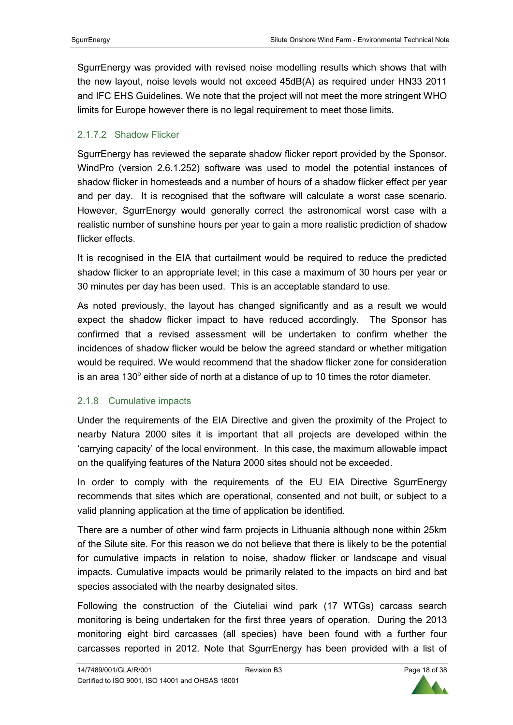SgurrEnergy was provided with revised noise modelling results which shows that with the new layout, noise levels would not exceed 45dB(A) as required under HN33 2011 and IFC EHS Guidelines. We note that the project will not meet the more stringent WHO limits for Europe however there is no legal requirement to meet those limits.

## 2.1.7.2 Shadow Flicker

SgurrEnergy has reviewed the separate shadow flicker report provided by the Sponsor. WindPro (version 2.6.1.252) software was used to model the potential instances of shadow flicker in homesteads and a number of hours of a shadow flicker effect per year and per day. It is recognised that the software will calculate a worst case scenario. However, SgurrEnergy would generally correct the astronomical worst case with a realistic number of sunshine hours per year to gain a more realistic prediction of shadow flicker effects.

It is recognised in the EIA that curtailment would be required to reduce the predicted shadow flicker to an appropriate level; in this case a maximum of 30 hours per year or 30 minutes per day has been used. This is an acceptable standard to use.

As noted previously, the layout has changed significantly and as a result we would expect the shadow flicker impact to have reduced accordingly. The Sponsor has confirmed that a revised assessment will be undertaken to confirm whether the incidences of shadow flicker would be below the agreed standard or whether mitigation would be required. We would recommend that the shadow flicker zone for consideration is an area 130 $^{\circ}$  either side of north at a distance of up to 10 times the rotor diameter.

## 2.1.8 Cumulative impacts

Under the requirements of the EIA Directive and given the proximity of the Project to nearby Natura 2000 sites it is important that all projects are developed within the 'carrying capacity' of the local environment. In this case, the maximum allowable impact on the qualifying features of the Natura 2000 sites should not be exceeded.

In order to comply with the requirements of the EU EIA Directive SgurrEnergy recommends that sites which are operational, consented and not built, or subject to a valid planning application at the time of application be identified.

There are a number of other wind farm projects in Lithuania although none within 25km of the Silute site. For this reason we do not believe that there is likely to be the potential for cumulative impacts in relation to noise, shadow flicker or landscape and visual impacts. Cumulative impacts would be primarily related to the impacts on bird and bat species associated with the nearby designated sites.

Following the construction of the Ciuteliai wind park (17 WTGs) carcass search monitoring is being undertaken for the first three years of operation. During the 2013 monitoring eight bird carcasses (all species) have been found with a further four carcasses reported in 2012. Note that SgurrEnergy has been provided with a list of

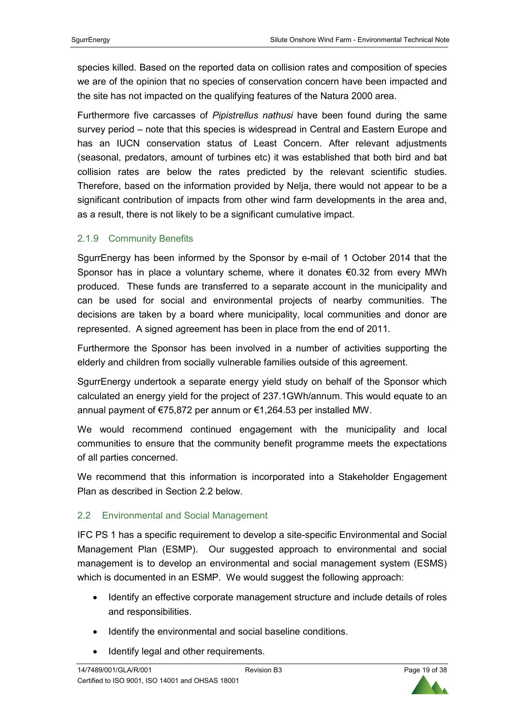species killed. Based on the reported data on collision rates and composition of species we are of the opinion that no species of conservation concern have been impacted and the site has not impacted on the qualifying features of the Natura 2000 area.

Furthermore five carcasses of *Pipistrellus nathusi* have been found during the same survey period – note that this species is widespread in Central and Eastern Europe and has an IUCN conservation status of Least Concern. After relevant adjustments (seasonal, predators, amount of turbines etc) it was established that both bird and bat collision rates are below the rates predicted by the relevant scientific studies. Therefore, based on the information provided by Nelja, there would not appear to be a significant contribution of impacts from other wind farm developments in the area and, as a result, there is not likely to be a significant cumulative impact.

## 2.1.9 Community Benefits

SgurrEnergy has been informed by the Sponsor by e-mail of 1 October 2014 that the Sponsor has in place a voluntary scheme, where it donates  $\epsilon$ 0.32 from every MWh produced. These funds are transferred to a separate account in the municipality and can be used for social and environmental projects of nearby communities. The decisions are taken by a board where municipality, local communities and donor are represented. A signed agreement has been in place from the end of 2011.

Furthermore the Sponsor has been involved in a number of activities supporting the elderly and children from socially vulnerable families outside of this agreement.

SgurrEnergy undertook a separate energy yield study on behalf of the Sponsor which calculated an energy yield for the project of 237.1GWh/annum. This would equate to an annual payment of €75,872 per annum or €1,264.53 per installed MW.

We would recommend continued engagement with the municipality and local communities to ensure that the community benefit programme meets the expectations of all parties concerned.

We recommend that this information is incorporated into a Stakeholder Engagement Plan as described in Section 2.2 below.

# 2.2 Environmental and Social Management

IFC PS 1 has a specific requirement to develop a site-specific Environmental and Social Management Plan (ESMP). Our suggested approach to environmental and social management is to develop an environmental and social management system (ESMS) which is documented in an ESMP. We would suggest the following approach:

- Identify an effective corporate management structure and include details of roles and responsibilities.
- Identify the environmental and social baseline conditions.
- Identify legal and other requirements.

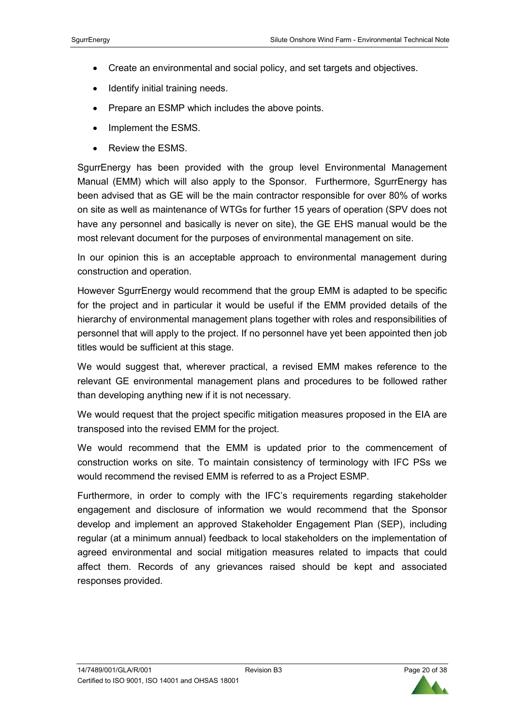- Create an environmental and social policy, and set targets and objectives.
- Identify initial training needs.
- Prepare an ESMP which includes the above points.
- Implement the ESMS.
- Review the ESMS.

SgurrEnergy has been provided with the group level Environmental Management Manual (EMM) which will also apply to the Sponsor. Furthermore, SgurrEnergy has been advised that as GE will be the main contractor responsible for over 80% of works on site as well as maintenance of WTGs for further 15 years of operation (SPV does not have any personnel and basically is never on site), the GE EHS manual would be the most relevant document for the purposes of environmental management on site.

In our opinion this is an acceptable approach to environmental management during construction and operation.

However SgurrEnergy would recommend that the group EMM is adapted to be specific for the project and in particular it would be useful if the EMM provided details of the hierarchy of environmental management plans together with roles and responsibilities of personnel that will apply to the project. If no personnel have yet been appointed then job titles would be sufficient at this stage.

We would suggest that, wherever practical, a revised EMM makes reference to the relevant GE environmental management plans and procedures to be followed rather than developing anything new if it is not necessary.

We would request that the project specific mitigation measures proposed in the EIA are transposed into the revised EMM for the project.

We would recommend that the EMM is updated prior to the commencement of construction works on site. To maintain consistency of terminology with IFC PSs we would recommend the revised EMM is referred to as a Project ESMP.

Furthermore, in order to comply with the IFC's requirements regarding stakeholder engagement and disclosure of information we would recommend that the Sponsor develop and implement an approved Stakeholder Engagement Plan (SEP), including regular (at a minimum annual) feedback to local stakeholders on the implementation of agreed environmental and social mitigation measures related to impacts that could affect them. Records of any grievances raised should be kept and associated responses provided.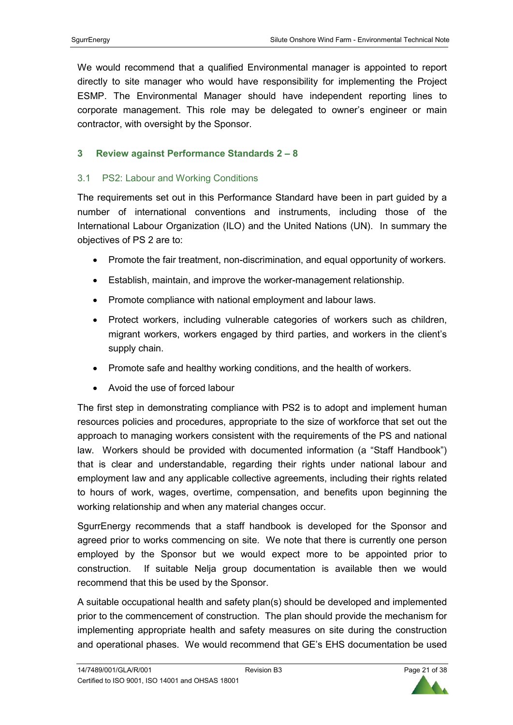We would recommend that a qualified Environmental manager is appointed to report directly to site manager who would have responsibility for implementing the Project ESMP. The Environmental Manager should have independent reporting lines to corporate management. This role may be delegated to owner's engineer or main contractor, with oversight by the Sponsor.

# **3 Review against Performance Standards 2 – 8**

## 3.1 PS2: Labour and Working Conditions

The requirements set out in this Performance Standard have been in part guided by a number of international conventions and instruments, including those of the International Labour Organization (ILO) and the United Nations (UN). In summary the objectives of PS 2 are to:

- Promote the fair treatment, non-discrimination, and equal opportunity of workers.
- Establish, maintain, and improve the worker-management relationship.
- Promote compliance with national employment and labour laws.
- Protect workers, including vulnerable categories of workers such as children, migrant workers, workers engaged by third parties, and workers in the client's supply chain.
- Promote safe and healthy working conditions, and the health of workers.
- Avoid the use of forced labour

The first step in demonstrating compliance with PS2 is to adopt and implement human resources policies and procedures, appropriate to the size of workforce that set out the approach to managing workers consistent with the requirements of the PS and national law. Workers should be provided with documented information (a "Staff Handbook") that is clear and understandable, regarding their rights under national labour and employment law and any applicable collective agreements, including their rights related to hours of work, wages, overtime, compensation, and benefits upon beginning the working relationship and when any material changes occur.

SgurrEnergy recommends that a staff handbook is developed for the Sponsor and agreed prior to works commencing on site. We note that there is currently one person employed by the Sponsor but we would expect more to be appointed prior to construction. If suitable Nelja group documentation is available then we would recommend that this be used by the Sponsor.

A suitable occupational health and safety plan(s) should be developed and implemented prior to the commencement of construction. The plan should provide the mechanism for implementing appropriate health and safety measures on site during the construction and operational phases. We would recommend that GE's EHS documentation be used

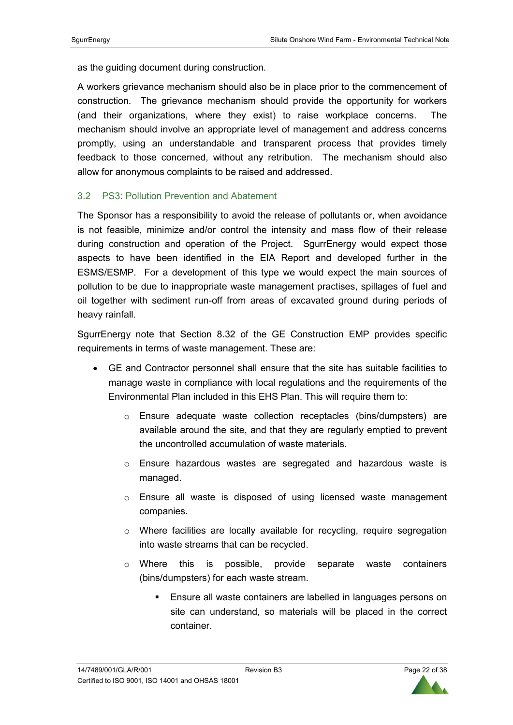as the guiding document during construction.

A workers grievance mechanism should also be in place prior to the commencement of construction. The grievance mechanism should provide the opportunity for workers (and their organizations, where they exist) to raise workplace concerns. The mechanism should involve an appropriate level of management and address concerns promptly, using an understandable and transparent process that provides timely feedback to those concerned, without any retribution. The mechanism should also allow for anonymous complaints to be raised and addressed.

## 3.2 PS3: Pollution Prevention and Abatement

The Sponsor has a responsibility to avoid the release of pollutants or, when avoidance is not feasible, minimize and/or control the intensity and mass flow of their release during construction and operation of the Project. SgurrEnergy would expect those aspects to have been identified in the EIA Report and developed further in the ESMS/ESMP. For a development of this type we would expect the main sources of pollution to be due to inappropriate waste management practises, spillages of fuel and oil together with sediment run-off from areas of excavated ground during periods of heavy rainfall.

SgurrEnergy note that Section 8.32 of the GE Construction EMP provides specific requirements in terms of waste management. These are:

- GE and Contractor personnel shall ensure that the site has suitable facilities to manage waste in compliance with local regulations and the requirements of the Environmental Plan included in this EHS Plan. This will require them to:
	- o Ensure adequate waste collection receptacles (bins/dumpsters) are available around the site, and that they are regularly emptied to prevent the uncontrolled accumulation of waste materials.
	- o Ensure hazardous wastes are segregated and hazardous waste is managed.
	- o Ensure all waste is disposed of using licensed waste management companies.
	- $\circ$  Where facilities are locally available for recycling, require segregation into waste streams that can be recycled.
	- o Where this is possible, provide separate waste containers (bins/dumpsters) for each waste stream.
		- **Ensure all waste containers are labelled in languages persons on** site can understand, so materials will be placed in the correct container.

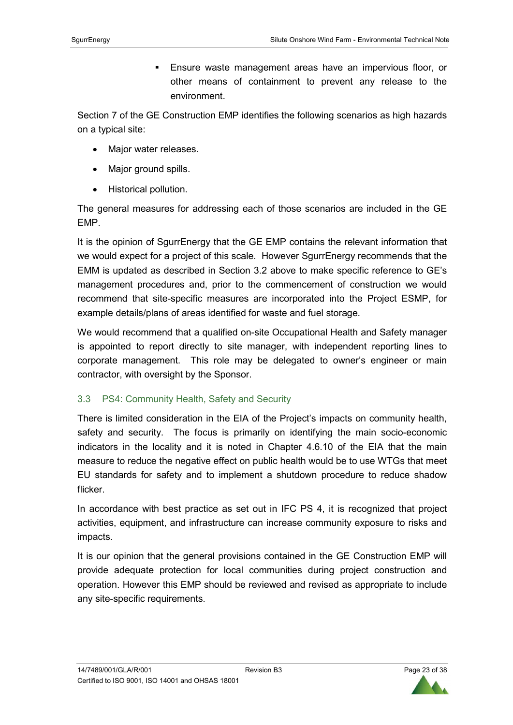Ensure waste management areas have an impervious floor, or other means of containment to prevent any release to the environment.

Section 7 of the GE Construction EMP identifies the following scenarios as high hazards on a typical site:

- Major water releases.
- Major ground spills.
- Historical pollution.

The general measures for addressing each of those scenarios are included in the GE EMP.

It is the opinion of SgurrEnergy that the GE EMP contains the relevant information that we would expect for a project of this scale. However SgurrEnergy recommends that the EMM is updated as described in Section 3.2 above to make specific reference to GE's management procedures and, prior to the commencement of construction we would recommend that site-specific measures are incorporated into the Project ESMP, for example details/plans of areas identified for waste and fuel storage.

We would recommend that a qualified on-site Occupational Health and Safety manager is appointed to report directly to site manager, with independent reporting lines to corporate management. This role may be delegated to owner's engineer or main contractor, with oversight by the Sponsor.

# 3.3 PS4: Community Health, Safety and Security

There is limited consideration in the EIA of the Project's impacts on community health, safety and security. The focus is primarily on identifying the main socio-economic indicators in the locality and it is noted in Chapter 4.6.10 of the EIA that the main measure to reduce the negative effect on public health would be to use WTGs that meet EU standards for safety and to implement a shutdown procedure to reduce shadow flicker.

In accordance with best practice as set out in IFC PS 4, it is recognized that project activities, equipment, and infrastructure can increase community exposure to risks and impacts.

It is our opinion that the general provisions contained in the GE Construction EMP will provide adequate protection for local communities during project construction and operation. However this EMP should be reviewed and revised as appropriate to include any site-specific requirements.

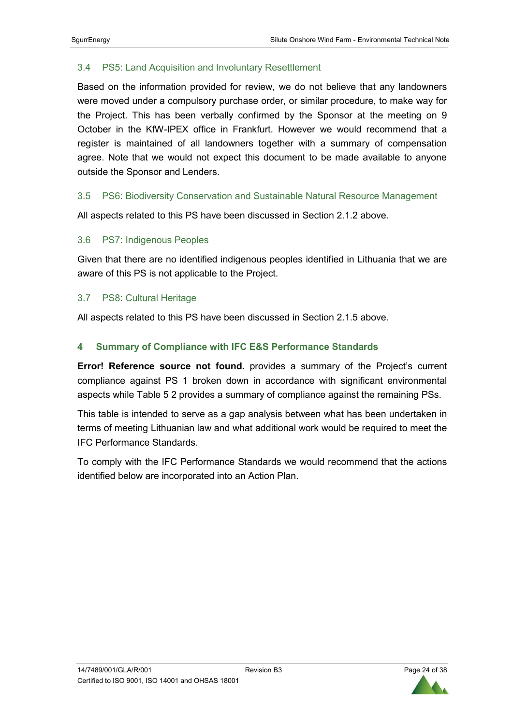## 3.4 PS5: Land Acquisition and Involuntary Resettlement

Based on the information provided for review, we do not believe that any landowners were moved under a compulsory purchase order, or similar procedure, to make way for the Project. This has been verbally confirmed by the Sponsor at the meeting on 9 October in the KfW-IPEX office in Frankfurt. However we would recommend that a register is maintained of all landowners together with a summary of compensation agree. Note that we would not expect this document to be made available to anyone outside the Sponsor and Lenders.

## 3.5 PS6: Biodiversity Conservation and Sustainable Natural Resource Management

All aspects related to this PS have been discussed in Section 2.1.2 above.

## 3.6 PS7: Indigenous Peoples

Given that there are no identified indigenous peoples identified in Lithuania that we are aware of this PS is not applicable to the Project.

#### 3.7 PS8: Cultural Heritage

All aspects related to this PS have been discussed in Section 2.1.5 above.

## **4 Summary of Compliance with IFC E&S Performance Standards**

**Error! Reference source not found.** provides a summary of the Project's current compliance against PS 1 broken down in accordance with significant environmental aspects while Table 5 2 provides a summary of compliance against the remaining PSs.

This table is intended to serve as a gap analysis between what has been undertaken in terms of meeting Lithuanian law and what additional work would be required to meet the IFC Performance Standards.

To comply with the IFC Performance Standards we would recommend that the actions identified below are incorporated into an Action Plan.

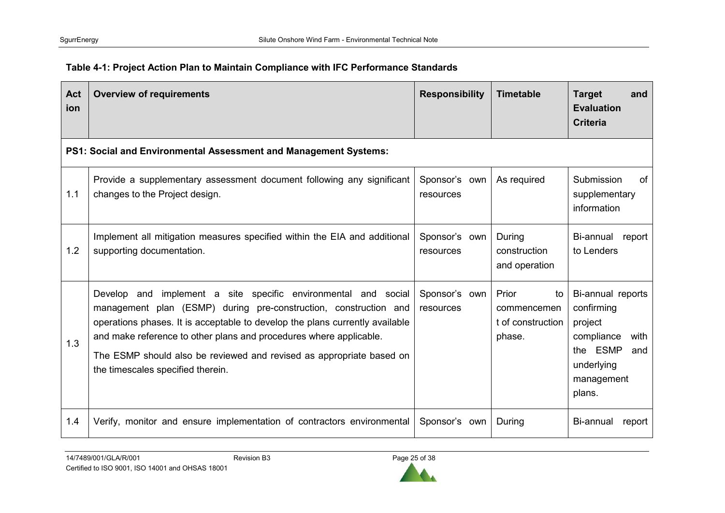| <b>Act</b><br>ion | <b>Overview of requirements</b>                                                                                                                                                                                                                                                                                                                                                                          | <b>Responsibility</b>      | <b>Timetable</b>                                          | <b>Target</b><br>and<br><b>Evaluation</b><br><b>Criteria</b>                                                              |
|-------------------|----------------------------------------------------------------------------------------------------------------------------------------------------------------------------------------------------------------------------------------------------------------------------------------------------------------------------------------------------------------------------------------------------------|----------------------------|-----------------------------------------------------------|---------------------------------------------------------------------------------------------------------------------------|
|                   | PS1: Social and Environmental Assessment and Management Systems:                                                                                                                                                                                                                                                                                                                                         |                            |                                                           |                                                                                                                           |
| 1.1               | Provide a supplementary assessment document following any significant<br>changes to the Project design.                                                                                                                                                                                                                                                                                                  | Sponsor's own<br>resources | As required                                               | Submission<br>οf<br>supplementary<br>information                                                                          |
| 1.2               | Implement all mitigation measures specified within the EIA and additional<br>supporting documentation.                                                                                                                                                                                                                                                                                                   | Sponsor's own<br>resources | During<br>construction<br>and operation                   | Bi-annual<br>report<br>to Lenders                                                                                         |
| 1.3               | implement a site specific environmental and social<br>Develop and<br>management plan (ESMP) during pre-construction, construction and<br>operations phases. It is acceptable to develop the plans currently available<br>and make reference to other plans and procedures where applicable.<br>The ESMP should also be reviewed and revised as appropriate based on<br>the timescales specified therein. | Sponsor's own<br>resources | Prior<br>to<br>commencemen<br>t of construction<br>phase. | Bi-annual reports<br>confirming<br>project<br>compliance<br>with<br>the ESMP<br>and<br>underlying<br>management<br>plans. |
| 1.4               | Verify, monitor and ensure implementation of contractors environmental                                                                                                                                                                                                                                                                                                                                   | Sponsor's own              | During                                                    | Bi-annual<br>report                                                                                                       |

# **Table 4-1: Project Action Plan to Maintain Compliance with IFC Performance Standards**

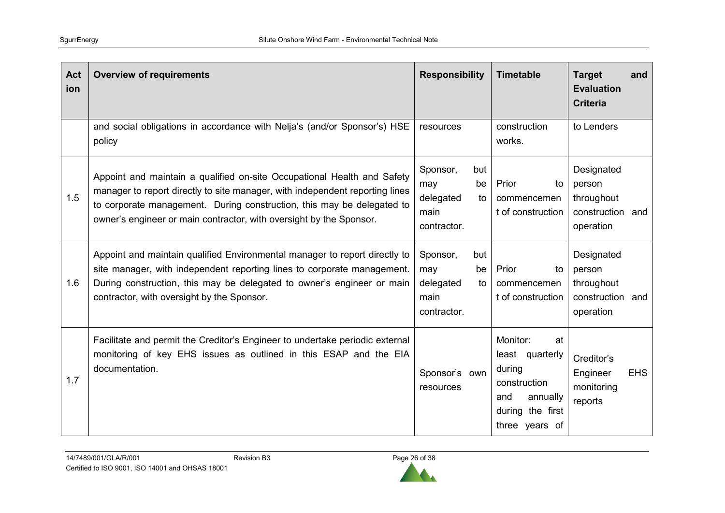| Act<br>ion | <b>Overview of requirements</b>                                                                                                                                                                                                                                                                          | <b>Responsibility</b>                                                  | <b>Timetable</b>                                                                                                     | <b>Target</b><br>and<br><b>Evaluation</b><br><b>Criteria</b>           |
|------------|----------------------------------------------------------------------------------------------------------------------------------------------------------------------------------------------------------------------------------------------------------------------------------------------------------|------------------------------------------------------------------------|----------------------------------------------------------------------------------------------------------------------|------------------------------------------------------------------------|
|            | and social obligations in accordance with Nelja's (and/or Sponsor's) HSE<br>policy                                                                                                                                                                                                                       | resources                                                              | construction<br>works.                                                                                               | to Lenders                                                             |
| 1.5        | Appoint and maintain a qualified on-site Occupational Health and Safety<br>manager to report directly to site manager, with independent reporting lines<br>to corporate management. During construction, this may be delegated to<br>owner's engineer or main contractor, with oversight by the Sponsor. | Sponsor,<br>but<br>may<br>be<br>delegated<br>to<br>main<br>contractor. | Prior<br>to<br>commencemen<br>t of construction                                                                      | Designated<br>person<br>throughout<br>construction and<br>operation    |
| 1.6        | Appoint and maintain qualified Environmental manager to report directly to<br>site manager, with independent reporting lines to corporate management.<br>During construction, this may be delegated to owner's engineer or main<br>contractor, with oversight by the Sponsor.                            | Sponsor,<br>but<br>be<br>may<br>delegated<br>to<br>main<br>contractor. | Prior<br>to<br>commencemen<br>t of construction                                                                      | Designated<br>person<br>throughout<br>construction<br>and<br>operation |
| 1.7        | Facilitate and permit the Creditor's Engineer to undertake periodic external<br>monitoring of key EHS issues as outlined in this ESAP and the EIA<br>documentation.                                                                                                                                      | Sponsor's own<br>resources                                             | Monitor:<br>at<br>least quarterly<br>during<br>construction<br>and<br>annually<br>during the first<br>three years of | Creditor's<br>Engineer<br><b>EHS</b><br>monitoring<br>reports          |

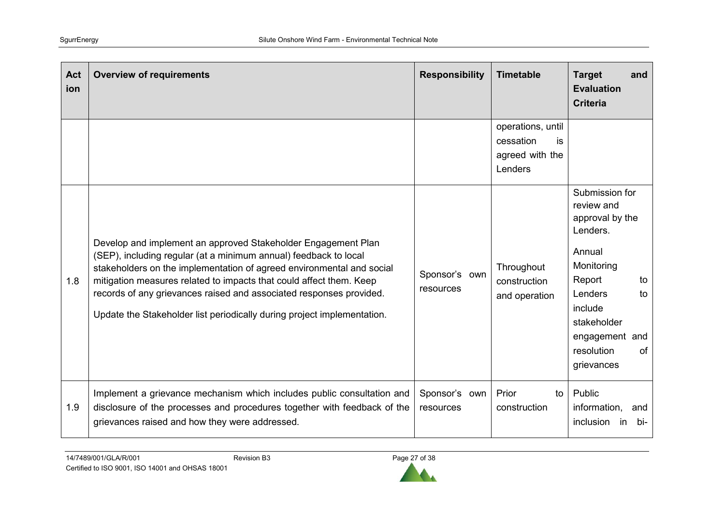| Act<br>ion | <b>Overview of requirements</b>                                                                                                                                                                                                                                                                                                                                                                                                     | <b>Responsibility</b>      | <b>Timetable</b>                                                    | <b>Target</b><br>and<br><b>Evaluation</b><br><b>Criteria</b>                                                                                                                                       |
|------------|-------------------------------------------------------------------------------------------------------------------------------------------------------------------------------------------------------------------------------------------------------------------------------------------------------------------------------------------------------------------------------------------------------------------------------------|----------------------------|---------------------------------------------------------------------|----------------------------------------------------------------------------------------------------------------------------------------------------------------------------------------------------|
|            |                                                                                                                                                                                                                                                                                                                                                                                                                                     |                            | operations, until<br>cessation<br>is.<br>agreed with the<br>Lenders |                                                                                                                                                                                                    |
| 1.8        | Develop and implement an approved Stakeholder Engagement Plan<br>(SEP), including regular (at a minimum annual) feedback to local<br>stakeholders on the implementation of agreed environmental and social<br>mitigation measures related to impacts that could affect them. Keep<br>records of any grievances raised and associated responses provided.<br>Update the Stakeholder list periodically during project implementation. | Sponsor's own<br>resources | Throughout<br>construction<br>and operation                         | Submission for<br>review and<br>approval by the<br>Lenders.<br>Annual<br>Monitoring<br>Report<br>to<br>Lenders<br>to<br>include<br>stakeholder<br>engagement and<br>resolution<br>of<br>grievances |
| 1.9        | Implement a grievance mechanism which includes public consultation and<br>disclosure of the processes and procedures together with feedback of the<br>grievances raised and how they were addressed.                                                                                                                                                                                                                                | Sponsor's own<br>resources | Prior<br>to<br>construction                                         | Public<br>information,<br>and<br>inclusion<br>bi-<br>in.                                                                                                                                           |

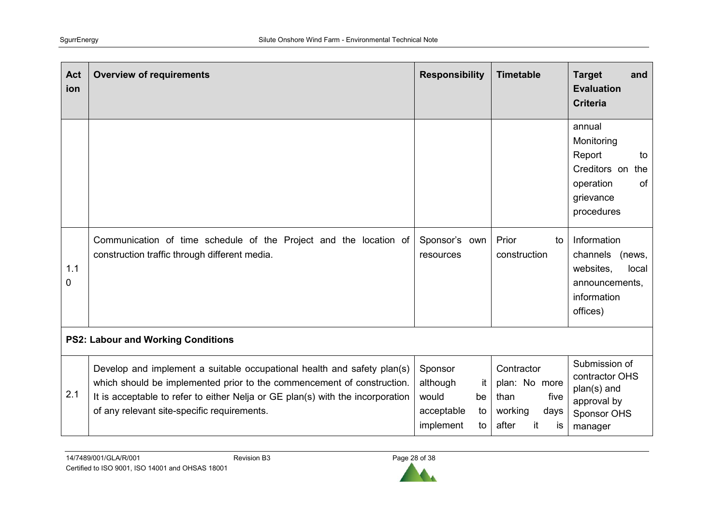| Act<br>ion | <b>Overview of requirements</b>                                                                                                                                                                                                                                                    | <b>Responsibility</b>                                                           | <b>Timetable</b>                                                                    | <b>Target</b><br>and<br><b>Evaluation</b><br><b>Criteria</b>                                              |  |  |
|------------|------------------------------------------------------------------------------------------------------------------------------------------------------------------------------------------------------------------------------------------------------------------------------------|---------------------------------------------------------------------------------|-------------------------------------------------------------------------------------|-----------------------------------------------------------------------------------------------------------|--|--|
|            |                                                                                                                                                                                                                                                                                    |                                                                                 |                                                                                     | annual<br>Monitoring<br>Report<br>to<br>Creditors on<br>the<br>of<br>operation<br>grievance<br>procedures |  |  |
| 1.1<br>0   | Communication of time schedule of the Project and the location of<br>construction traffic through different media.                                                                                                                                                                 | Sponsor's own<br>resources                                                      | Prior<br>to<br>construction                                                         | Information<br>channels<br>(news,<br>websites,<br>local<br>announcements,<br>information<br>offices)      |  |  |
|            | <b>PS2: Labour and Working Conditions</b>                                                                                                                                                                                                                                          |                                                                                 |                                                                                     |                                                                                                           |  |  |
| 2.1        | Develop and implement a suitable occupational health and safety plan(s)<br>which should be implemented prior to the commencement of construction.<br>It is acceptable to refer to either Nelja or GE plan(s) with the incorporation<br>of any relevant site-specific requirements. | Sponsor<br>although<br>it<br>would<br>be<br>acceptable<br>to<br>implement<br>to | Contractor<br>plan: No more<br>than<br>five<br>working<br>days<br>after<br>it<br>is | Submission of<br>contractor OHS<br>plan(s) and<br>approval by<br>Sponsor OHS<br>manager                   |  |  |

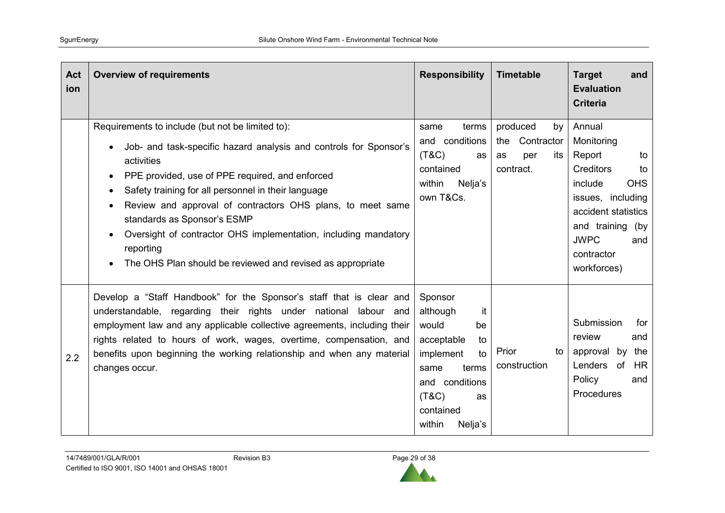| Act<br>ion | <b>Overview of requirements</b>                                                                                                                                                                                                                                                                                                                                                                                                                                                                                    | <b>Responsibility</b>                                                                                                                                               | <b>Timetable</b>                                                     | <b>Target</b><br>and<br><b>Evaluation</b><br><b>Criteria</b>                                                                                                                                               |
|------------|--------------------------------------------------------------------------------------------------------------------------------------------------------------------------------------------------------------------------------------------------------------------------------------------------------------------------------------------------------------------------------------------------------------------------------------------------------------------------------------------------------------------|---------------------------------------------------------------------------------------------------------------------------------------------------------------------|----------------------------------------------------------------------|------------------------------------------------------------------------------------------------------------------------------------------------------------------------------------------------------------|
|            | Requirements to include (but not be limited to):<br>Job- and task-specific hazard analysis and controls for Sponsor's<br>activities<br>PPE provided, use of PPE required, and enforced<br>Safety training for all personnel in their language<br>Review and approval of contractors OHS plans, to meet same<br>standards as Sponsor's ESMP<br>Oversight of contractor OHS implementation, including mandatory<br>$\bullet$<br>reporting<br>The OHS Plan should be reviewed and revised as appropriate<br>$\bullet$ | terms<br>same<br>and conditions<br>(T&C)<br>as<br>contained<br>within<br>Nelja's<br>own T&Cs.                                                                       | produced<br>by<br>the<br>Contractor<br>per<br>as<br>its<br>contract. | Annual<br>Monitoring<br>Report<br>to<br><b>Creditors</b><br>to<br>include<br><b>OHS</b><br>issues, including<br>accident statistics<br>and training (by<br><b>JWPC</b><br>and<br>contractor<br>workforces) |
| 2.2        | Develop a "Staff Handbook" for the Sponsor's staff that is clear and<br>understandable, regarding their rights under national labour and<br>employment law and any applicable collective agreements, including their<br>rights related to hours of work, wages, overtime, compensation, and<br>benefits upon beginning the working relationship and when any material<br>changes occur.                                                                                                                            | Sponsor<br>it<br>although<br>would<br>be<br>acceptable<br>to<br>implement<br>to<br>terms<br>same<br>and conditions<br>(T&C)<br>as<br>contained<br>within<br>Nelja's | Prior<br>to<br>construction                                          | Submission<br>for<br>review<br>and<br>approval by<br>the<br>Lenders of<br>HR.<br>Policy<br>and<br>Procedures                                                                                               |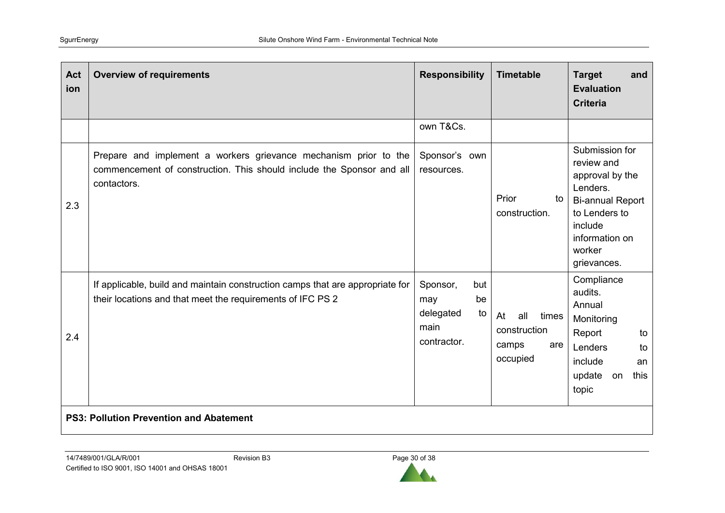| <b>Act</b><br>ion | <b>Overview of requirements</b>                                                                                                                          | <b>Responsibility</b>                                                  | <b>Timetable</b>                                               | <b>Target</b><br>and<br><b>Evaluation</b><br><b>Criteria</b>                                                                                                  |  |  |  |
|-------------------|----------------------------------------------------------------------------------------------------------------------------------------------------------|------------------------------------------------------------------------|----------------------------------------------------------------|---------------------------------------------------------------------------------------------------------------------------------------------------------------|--|--|--|
|                   |                                                                                                                                                          | own T&Cs.                                                              |                                                                |                                                                                                                                                               |  |  |  |
| 2.3               | Prepare and implement a workers grievance mechanism prior to the<br>commencement of construction. This should include the Sponsor and all<br>contactors. | Sponsor's own<br>resources.                                            | Prior<br>to<br>construction.                                   | Submission for<br>review and<br>approval by the<br>Lenders.<br><b>Bi-annual Report</b><br>to Lenders to<br>include<br>information on<br>worker<br>grievances. |  |  |  |
| 2.4               | If applicable, build and maintain construction camps that are appropriate for<br>their locations and that meet the requirements of IFC PS 2              | Sponsor,<br>but<br>be<br>may<br>delegated<br>to<br>main<br>contractor. | all<br>At<br>times<br>construction<br>camps<br>are<br>occupied | Compliance<br>audits.<br>Annual<br>Monitoring<br>Report<br>to<br>Lenders<br>to<br>include<br>an<br>update<br>this<br>on<br>topic                              |  |  |  |
|                   | <b>PS3: Pollution Prevention and Abatement</b>                                                                                                           |                                                                        |                                                                |                                                                                                                                                               |  |  |  |

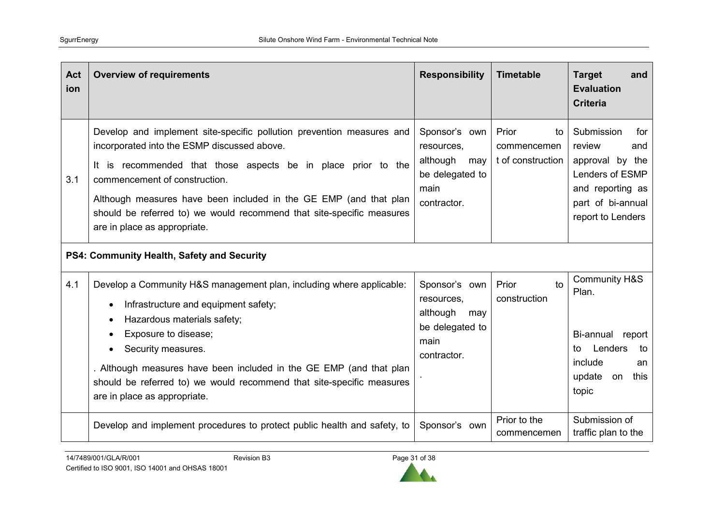| <b>Act</b><br>ion | <b>Overview of requirements</b>                                                                                                                                                                                                                                                                                                                                                                          | <b>Responsibility</b>                                                                    | <b>Timetable</b>                                | <b>Target</b><br>and<br><b>Evaluation</b><br><b>Criteria</b>                                                                           |
|-------------------|----------------------------------------------------------------------------------------------------------------------------------------------------------------------------------------------------------------------------------------------------------------------------------------------------------------------------------------------------------------------------------------------------------|------------------------------------------------------------------------------------------|-------------------------------------------------|----------------------------------------------------------------------------------------------------------------------------------------|
| 3.1               | Develop and implement site-specific pollution prevention measures and<br>incorporated into the ESMP discussed above.<br>It is recommended that those aspects be in place prior to the<br>commencement of construction.<br>Although measures have been included in the GE EMP (and that plan<br>should be referred to) we would recommend that site-specific measures<br>are in place as appropriate.     | Sponsor's own<br>resources,<br>although<br>may<br>be delegated to<br>main<br>contractor. | Prior<br>to<br>commencemen<br>t of construction | Submission<br>for<br>review<br>and<br>approval by the<br>Lenders of ESMP<br>and reporting as<br>part of bi-annual<br>report to Lenders |
|                   | PS4: Community Health, Safety and Security                                                                                                                                                                                                                                                                                                                                                               |                                                                                          |                                                 |                                                                                                                                        |
| 4.1               | Develop a Community H&S management plan, including where applicable:<br>Infrastructure and equipment safety;<br>$\bullet$<br>Hazardous materials safety;<br>٠<br>Exposure to disease;<br>Security measures.<br>$\bullet$<br>. Although measures have been included in the GE EMP (and that plan<br>should be referred to) we would recommend that site-specific measures<br>are in place as appropriate. | Sponsor's own<br>resources,<br>although<br>may<br>be delegated to<br>main<br>contractor. | Prior<br>to<br>construction                     | <b>Community H&amp;S</b><br>Plan.<br>Bi-annual<br>report<br>Lenders<br>to<br>to<br>include<br>an<br>update<br>on<br>this<br>topic      |
|                   | Develop and implement procedures to protect public health and safety, to                                                                                                                                                                                                                                                                                                                                 | Sponsor's own                                                                            | Prior to the<br>commencemen                     | Submission of<br>traffic plan to the                                                                                                   |

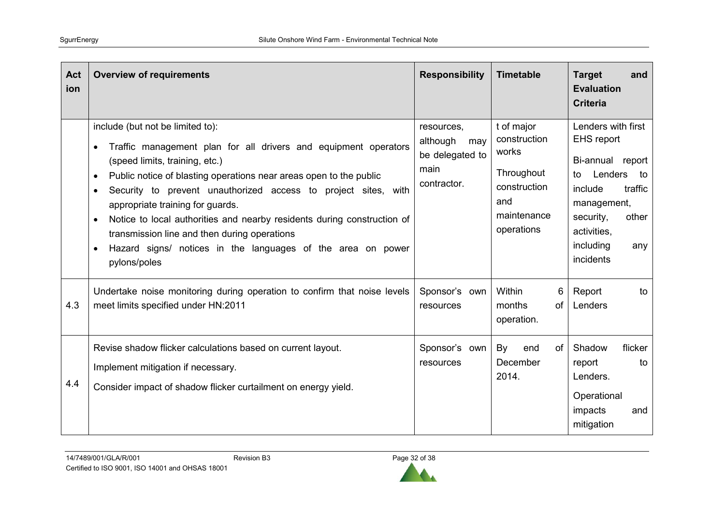| Act<br>ion | <b>Overview of requirements</b>                                                                                                                                                                                                                                                                                                                                                                                                                                                                                                                                                              | <b>Responsibility</b>                                                   | <b>Timetable</b>                                                                                      | <b>Target</b><br>and<br><b>Evaluation</b><br><b>Criteria</b>                                                                                                                                  |
|------------|----------------------------------------------------------------------------------------------------------------------------------------------------------------------------------------------------------------------------------------------------------------------------------------------------------------------------------------------------------------------------------------------------------------------------------------------------------------------------------------------------------------------------------------------------------------------------------------------|-------------------------------------------------------------------------|-------------------------------------------------------------------------------------------------------|-----------------------------------------------------------------------------------------------------------------------------------------------------------------------------------------------|
|            | include (but not be limited to):<br>Traffic management plan for all drivers and equipment operators<br>$\bullet$<br>(speed limits, training, etc.)<br>Public notice of blasting operations near areas open to the public<br>$\bullet$<br>Security to prevent unauthorized access to project sites, with<br>$\bullet$<br>appropriate training for guards.<br>Notice to local authorities and nearby residents during construction of<br>$\bullet$<br>transmission line and then during operations<br>Hazard signs/ notices in the languages of the area on power<br>$\bullet$<br>pylons/poles | resources,<br>although<br>may<br>be delegated to<br>main<br>contractor. | t of major<br>construction<br>works<br>Throughout<br>construction<br>and<br>maintenance<br>operations | Lenders with first<br><b>EHS</b> report<br>Bi-annual report<br>Lenders<br>to<br>to<br>traffic<br>include<br>management,<br>security,<br>other<br>activities,<br>including<br>any<br>incidents |
| 4.3        | Undertake noise monitoring during operation to confirm that noise levels<br>meet limits specified under HN:2011                                                                                                                                                                                                                                                                                                                                                                                                                                                                              | Sponsor's own<br>resources                                              | Within<br>6<br>months<br>of<br>operation.                                                             | Report<br>to<br>Lenders                                                                                                                                                                       |
| 4.4        | Revise shadow flicker calculations based on current layout.<br>Implement mitigation if necessary.<br>Consider impact of shadow flicker curtailment on energy yield.                                                                                                                                                                                                                                                                                                                                                                                                                          | Sponsor's own<br>resources                                              | By<br>of<br>end<br>December<br>2014.                                                                  | Shadow<br>flicker<br>report<br>to<br>Lenders.<br>Operational<br>impacts<br>and<br>mitigation                                                                                                  |

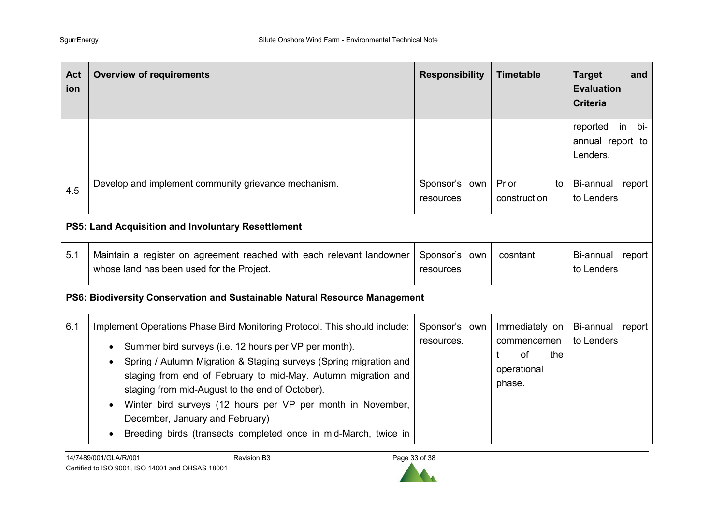| Act<br>ion | <b>Overview of requirements</b>                                                                                                                                                                                                                                                                                                                                                                                                                                                                  | <b>Responsibility</b>       | <b>Timetable</b>                                                    | <b>Target</b><br>and<br><b>Evaluation</b><br><b>Criteria</b> |
|------------|--------------------------------------------------------------------------------------------------------------------------------------------------------------------------------------------------------------------------------------------------------------------------------------------------------------------------------------------------------------------------------------------------------------------------------------------------------------------------------------------------|-----------------------------|---------------------------------------------------------------------|--------------------------------------------------------------|
|            |                                                                                                                                                                                                                                                                                                                                                                                                                                                                                                  |                             |                                                                     | reported<br>in<br>bi-<br>annual report to<br>Lenders.        |
| 4.5        | Develop and implement community grievance mechanism.                                                                                                                                                                                                                                                                                                                                                                                                                                             | Sponsor's own<br>resources  | Prior<br>to<br>construction                                         | Bi-annual<br>report<br>to Lenders                            |
|            | PS5: Land Acquisition and Involuntary Resettlement                                                                                                                                                                                                                                                                                                                                                                                                                                               |                             |                                                                     |                                                              |
| 5.1        | Maintain a register on agreement reached with each relevant landowner<br>whose land has been used for the Project.                                                                                                                                                                                                                                                                                                                                                                               | Sponsor's own<br>resources  | cosntant                                                            | Bi-annual<br>report<br>to Lenders                            |
|            | PS6: Biodiversity Conservation and Sustainable Natural Resource Management                                                                                                                                                                                                                                                                                                                                                                                                                       |                             |                                                                     |                                                              |
| 6.1        | Implement Operations Phase Bird Monitoring Protocol. This should include:<br>Summer bird surveys (i.e. 12 hours per VP per month).<br>Spring / Autumn Migration & Staging surveys (Spring migration and<br>staging from end of February to mid-May. Autumn migration and<br>staging from mid-August to the end of October).<br>Winter bird surveys (12 hours per VP per month in November,<br>December, January and February)<br>Breeding birds (transects completed once in mid-March, twice in | Sponsor's own<br>resources. | Immediately on<br>commencemen<br>of<br>the<br>operational<br>phase. | Bi-annual<br>report<br>to Lenders                            |

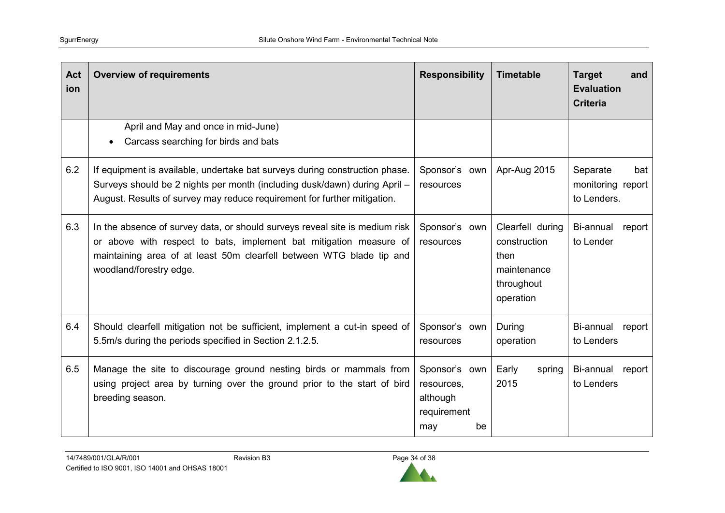| Act<br>ion | <b>Overview of requirements</b>                                                                                                                                                                                                                      | <b>Responsibility</b>                                               | <b>Timetable</b>                                                                   | <b>Target</b><br>and<br><b>Evaluation</b><br><b>Criteria</b> |
|------------|------------------------------------------------------------------------------------------------------------------------------------------------------------------------------------------------------------------------------------------------------|---------------------------------------------------------------------|------------------------------------------------------------------------------------|--------------------------------------------------------------|
|            | April and May and once in mid-June)<br>Carcass searching for birds and bats                                                                                                                                                                          |                                                                     |                                                                                    |                                                              |
| 6.2        | If equipment is available, undertake bat surveys during construction phase.<br>Surveys should be 2 nights per month (including dusk/dawn) during April -<br>August. Results of survey may reduce requirement for further mitigation.                 | Sponsor's own<br>resources                                          | Apr-Aug 2015                                                                       | Separate<br>bat<br>monitoring report<br>to Lenders.          |
| 6.3        | In the absence of survey data, or should surveys reveal site is medium risk<br>or above with respect to bats, implement bat mitigation measure of<br>maintaining area of at least 50m clearfell between WTG blade tip and<br>woodland/forestry edge. | Sponsor's own<br>resources                                          | Clearfell during<br>construction<br>then<br>maintenance<br>throughout<br>operation | Bi-annual<br>report<br>to Lender                             |
| 6.4        | Should clearfell mitigation not be sufficient, implement a cut-in speed of<br>5.5m/s during the periods specified in Section 2.1.2.5.                                                                                                                | Sponsor's own<br>resources                                          | During<br>operation                                                                | Bi-annual<br>report<br>to Lenders                            |
| 6.5        | Manage the site to discourage ground nesting birds or mammals from<br>using project area by turning over the ground prior to the start of bird<br>breeding season.                                                                                   | Sponsor's own<br>resources,<br>although<br>requirement<br>be<br>may | Early<br>spring<br>2015                                                            | Bi-annual<br>report<br>to Lenders                            |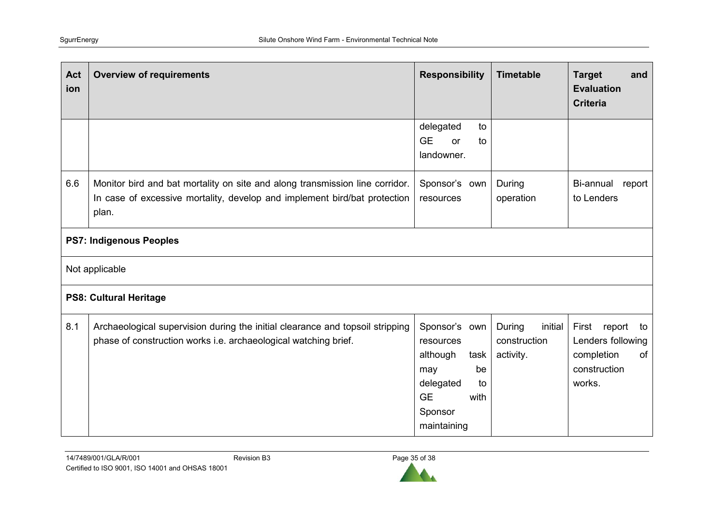| Act<br>ion | <b>Overview of requirements</b>                                                                                                                                    | <b>Responsibility</b>                                                                                                         | <b>Timetable</b>                               | <b>Target</b><br>and<br><b>Evaluation</b><br><b>Criteria</b>                       |  |  |
|------------|--------------------------------------------------------------------------------------------------------------------------------------------------------------------|-------------------------------------------------------------------------------------------------------------------------------|------------------------------------------------|------------------------------------------------------------------------------------|--|--|
|            |                                                                                                                                                                    | delegated<br>to<br><b>GE</b><br>or<br>to<br>landowner.                                                                        |                                                |                                                                                    |  |  |
| 6.6        | Monitor bird and bat mortality on site and along transmission line corridor.<br>In case of excessive mortality, develop and implement bird/bat protection<br>plan. | Sponsor's own<br>resources                                                                                                    | During<br>operation                            | Bi-annual<br>report<br>to Lenders                                                  |  |  |
|            | <b>PS7: Indigenous Peoples</b>                                                                                                                                     |                                                                                                                               |                                                |                                                                                    |  |  |
|            | Not applicable                                                                                                                                                     |                                                                                                                               |                                                |                                                                                    |  |  |
|            | <b>PS8: Cultural Heritage</b>                                                                                                                                      |                                                                                                                               |                                                |                                                                                    |  |  |
| 8.1        | Archaeological supervision during the initial clearance and topsoil stripping<br>phase of construction works i.e. archaeological watching brief.                   | Sponsor's own<br>resources<br>although<br>task<br>be<br>may<br>delegated<br>to<br><b>GE</b><br>with<br>Sponsor<br>maintaining | During<br>initial<br>construction<br>activity. | First report to<br>Lenders following<br>completion<br>of<br>construction<br>works. |  |  |

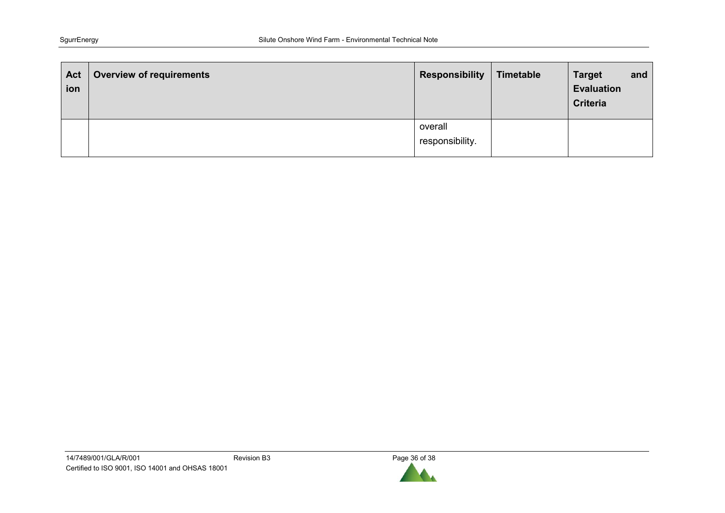| Act<br>ion | <b>Overview of requirements</b> | <b>Responsibility</b>      | Timetable | <b>Target</b><br><b>Evaluation</b><br><b>Criteria</b> | and |
|------------|---------------------------------|----------------------------|-----------|-------------------------------------------------------|-----|
|            |                                 | overall<br>responsibility. |           |                                                       |     |

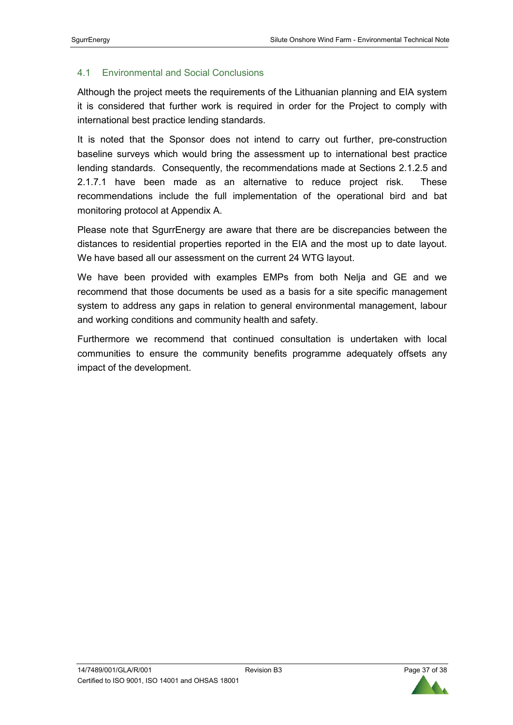## 4.1 Environmental and Social Conclusions

Although the project meets the requirements of the Lithuanian planning and EIA system it is considered that further work is required in order for the Project to comply with international best practice lending standards.

It is noted that the Sponsor does not intend to carry out further, pre-construction baseline surveys which would bring the assessment up to international best practice lending standards. Consequently, the recommendations made at Sections 2.1.2.5 and 2.1.7.1 have been made as an alternative to reduce project risk. These recommendations include the full implementation of the operational bird and bat monitoring protocol at Appendix A.

Please note that SgurrEnergy are aware that there are be discrepancies between the distances to residential properties reported in the EIA and the most up to date layout. We have based all our assessment on the current 24 WTG layout.

We have been provided with examples EMPs from both Nelja and GE and we recommend that those documents be used as a basis for a site specific management system to address any gaps in relation to general environmental management, labour and working conditions and community health and safety.

Furthermore we recommend that continued consultation is undertaken with local communities to ensure the community benefits programme adequately offsets any impact of the development.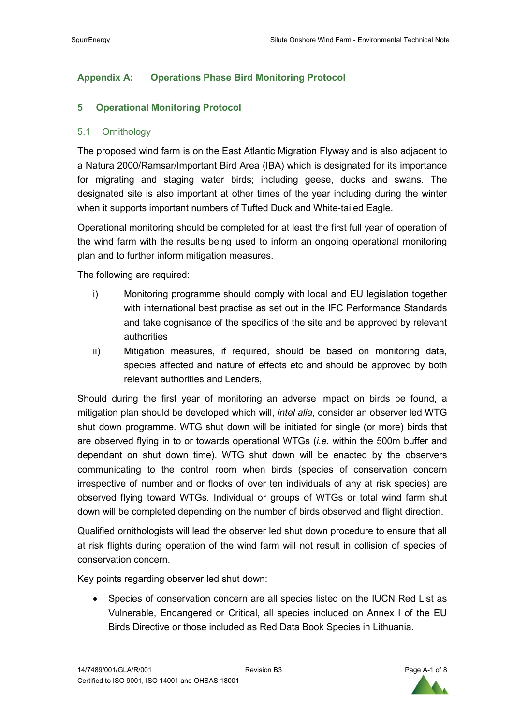# **Appendix A: Operations Phase Bird Monitoring Protocol**

# **5 Operational Monitoring Protocol**

## 5.1 Ornithology

The proposed wind farm is on the East Atlantic Migration Flyway and is also adjacent to a Natura 2000/Ramsar/Important Bird Area (IBA) which is designated for its importance for migrating and staging water birds; including geese, ducks and swans. The designated site is also important at other times of the year including during the winter when it supports important numbers of Tufted Duck and White-tailed Eagle.

Operational monitoring should be completed for at least the first full year of operation of the wind farm with the results being used to inform an ongoing operational monitoring plan and to further inform mitigation measures.

The following are required:

- i) Monitoring programme should comply with local and EU legislation together with international best practise as set out in the IFC Performance Standards and take cognisance of the specifics of the site and be approved by relevant authorities
- ii) Mitigation measures, if required, should be based on monitoring data, species affected and nature of effects etc and should be approved by both relevant authorities and Lenders,

Should during the first year of monitoring an adverse impact on birds be found, a mitigation plan should be developed which will, *intel alia*, consider an observer led WTG shut down programme. WTG shut down will be initiated for single (or more) birds that are observed flying in to or towards operational WTGs (*i.e.* within the 500m buffer and dependant on shut down time). WTG shut down will be enacted by the observers communicating to the control room when birds (species of conservation concern irrespective of number and or flocks of over ten individuals of any at risk species) are observed flying toward WTGs. Individual or groups of WTGs or total wind farm shut down will be completed depending on the number of birds observed and flight direction.

Qualified ornithologists will lead the observer led shut down procedure to ensure that all at risk flights during operation of the wind farm will not result in collision of species of conservation concern.

Key points regarding observer led shut down:

• Species of conservation concern are all species listed on the IUCN Red List as Vulnerable, Endangered or Critical, all species included on Annex I of the EU Birds Directive or those included as Red Data Book Species in Lithuania.

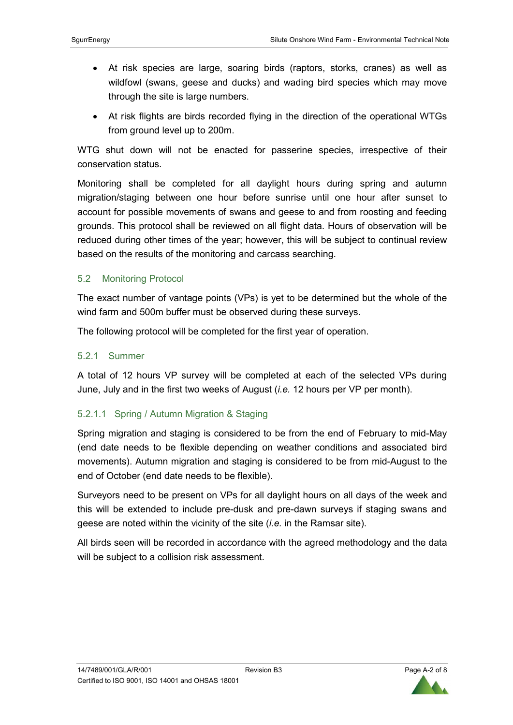- At risk species are large, soaring birds (raptors, storks, cranes) as well as wildfowl (swans, geese and ducks) and wading bird species which may move through the site is large numbers.
- At risk flights are birds recorded flying in the direction of the operational WTGs from ground level up to 200m.

WTG shut down will not be enacted for passerine species, irrespective of their conservation status.

Monitoring shall be completed for all daylight hours during spring and autumn migration/staging between one hour before sunrise until one hour after sunset to account for possible movements of swans and geese to and from roosting and feeding grounds. This protocol shall be reviewed on all flight data. Hours of observation will be reduced during other times of the year; however, this will be subject to continual review based on the results of the monitoring and carcass searching.

# 5.2 Monitoring Protocol

The exact number of vantage points (VPs) is yet to be determined but the whole of the wind farm and 500m buffer must be observed during these surveys.

The following protocol will be completed for the first year of operation.

# 5.2.1 Summer

A total of 12 hours VP survey will be completed at each of the selected VPs during June, July and in the first two weeks of August (*i.e.* 12 hours per VP per month).

# 5.2.1.1 Spring / Autumn Migration & Staging

Spring migration and staging is considered to be from the end of February to mid-May (end date needs to be flexible depending on weather conditions and associated bird movements). Autumn migration and staging is considered to be from mid-August to the end of October (end date needs to be flexible).

Surveyors need to be present on VPs for all daylight hours on all days of the week and this will be extended to include pre-dusk and pre-dawn surveys if staging swans and geese are noted within the vicinity of the site (*i.e.* in the Ramsar site).

All birds seen will be recorded in accordance with the agreed methodology and the data will be subject to a collision risk assessment.

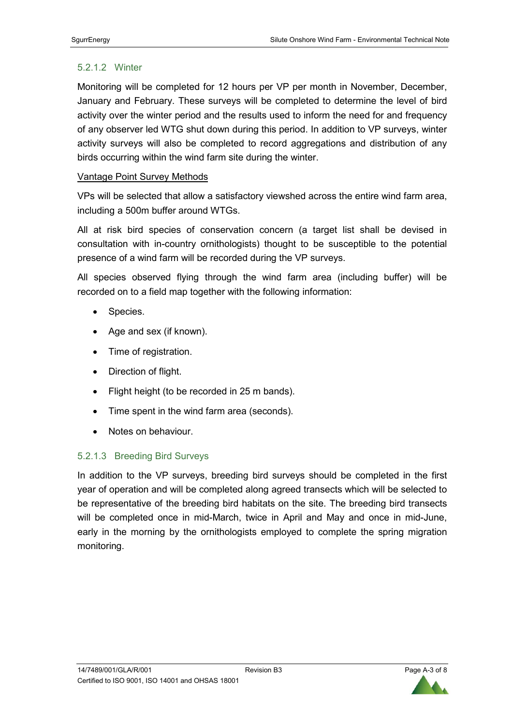# 5.2.1.2 Winter

Monitoring will be completed for 12 hours per VP per month in November, December, January and February. These surveys will be completed to determine the level of bird activity over the winter period and the results used to inform the need for and frequency of any observer led WTG shut down during this period. In addition to VP surveys, winter activity surveys will also be completed to record aggregations and distribution of any birds occurring within the wind farm site during the winter.

# Vantage Point Survey Methods

VPs will be selected that allow a satisfactory viewshed across the entire wind farm area, including a 500m buffer around WTGs.

All at risk bird species of conservation concern (a target list shall be devised in consultation with in-country ornithologists) thought to be susceptible to the potential presence of a wind farm will be recorded during the VP surveys.

All species observed flying through the wind farm area (including buffer) will be recorded on to a field map together with the following information:

- Species.
- Age and sex (if known).
- Time of registration.
- Direction of flight.
- Flight height (to be recorded in 25 m bands).
- Time spent in the wind farm area (seconds).
- Notes on behaviour.

# 5.2.1.3 Breeding Bird Surveys

In addition to the VP surveys, breeding bird surveys should be completed in the first year of operation and will be completed along agreed transects which will be selected to be representative of the breeding bird habitats on the site. The breeding bird transects will be completed once in mid-March, twice in April and May and once in mid-June, early in the morning by the ornithologists employed to complete the spring migration monitoring.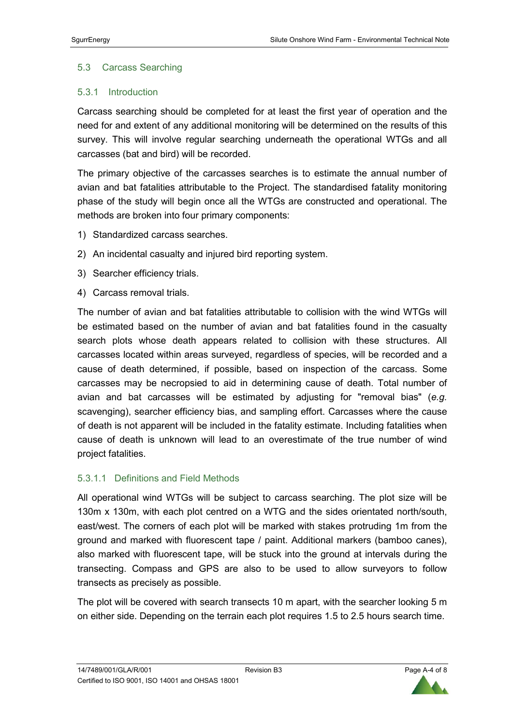## 5.3 Carcass Searching

## 5.3.1 Introduction

Carcass searching should be completed for at least the first year of operation and the need for and extent of any additional monitoring will be determined on the results of this survey. This will involve regular searching underneath the operational WTGs and all carcasses (bat and bird) will be recorded.

The primary objective of the carcasses searches is to estimate the annual number of avian and bat fatalities attributable to the Project. The standardised fatality monitoring phase of the study will begin once all the WTGs are constructed and operational. The methods are broken into four primary components:

- 1) Standardized carcass searches.
- 2) An incidental casualty and injured bird reporting system.
- 3) Searcher efficiency trials.
- 4) Carcass removal trials.

The number of avian and bat fatalities attributable to collision with the wind WTGs will be estimated based on the number of avian and bat fatalities found in the casualty search plots whose death appears related to collision with these structures. All carcasses located within areas surveyed, regardless of species, will be recorded and a cause of death determined, if possible, based on inspection of the carcass. Some carcasses may be necropsied to aid in determining cause of death. Total number of avian and bat carcasses will be estimated by adjusting for "removal bias" (*e.g.*  scavenging), searcher efficiency bias, and sampling effort. Carcasses where the cause of death is not apparent will be included in the fatality estimate. Including fatalities when cause of death is unknown will lead to an overestimate of the true number of wind project fatalities.

#### 5.3.1.1 Definitions and Field Methods

All operational wind WTGs will be subject to carcass searching. The plot size will be 130m x 130m, with each plot centred on a WTG and the sides orientated north/south, east/west. The corners of each plot will be marked with stakes protruding 1m from the ground and marked with fluorescent tape / paint. Additional markers (bamboo canes), also marked with fluorescent tape, will be stuck into the ground at intervals during the transecting. Compass and GPS are also to be used to allow surveyors to follow transects as precisely as possible.

The plot will be covered with search transects 10 m apart, with the searcher looking 5 m on either side. Depending on the terrain each plot requires 1.5 to 2.5 hours search time.

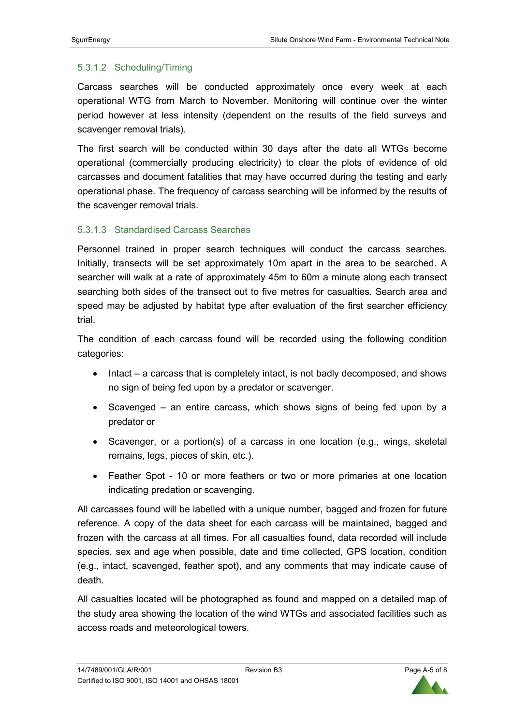# 5.3.1.2 Scheduling/Timing

Carcass searches will be conducted approximately once every week at each operational WTG from March to November. Monitoring will continue over the winter period however at less intensity (dependent on the results of the field surveys and scavenger removal trials).

The first search will be conducted within 30 days after the date all WTGs become operational (commercially producing electricity) to clear the plots of evidence of old carcasses and document fatalities that may have occurred during the testing and early operational phase. The frequency of carcass searching will be informed by the results of the scavenger removal trials.

# 5.3.1.3 Standardised Carcass Searches

Personnel trained in proper search techniques will conduct the carcass searches. Initially, transects will be set approximately 10m apart in the area to be searched. A searcher will walk at a rate of approximately 45m to 60m a minute along each transect searching both sides of the transect out to five metres for casualties. Search area and speed may be adjusted by habitat type after evaluation of the first searcher efficiency trial.

The condition of each carcass found will be recorded using the following condition categories:

- Intact a carcass that is completely intact, is not badly decomposed, and shows no sign of being fed upon by a predator or scavenger.
- Scavenged an entire carcass, which shows signs of being fed upon by a predator or
- Scavenger, or a portion(s) of a carcass in one location (e.g., wings, skeletal remains, legs, pieces of skin, etc.).
- Feather Spot 10 or more feathers or two or more primaries at one location indicating predation or scavenging.

All carcasses found will be labelled with a unique number, bagged and frozen for future reference. A copy of the data sheet for each carcass will be maintained, bagged and frozen with the carcass at all times. For all casualties found, data recorded will include species, sex and age when possible, date and time collected, GPS location, condition (e.g., intact, scavenged, feather spot), and any comments that may indicate cause of death.

All casualties located will be photographed as found and mapped on a detailed map of the study area showing the location of the wind WTGs and associated facilities such as access roads and meteorological towers.

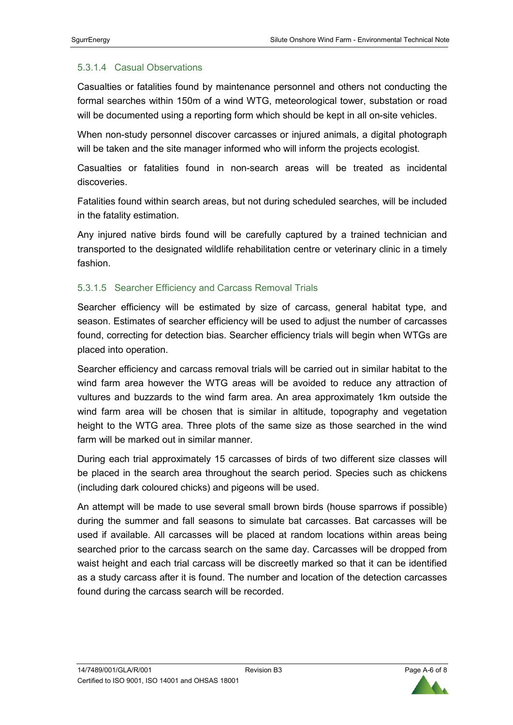# 5.3.1.4 Casual Observations

Casualties or fatalities found by maintenance personnel and others not conducting the formal searches within 150m of a wind WTG, meteorological tower, substation or road will be documented using a reporting form which should be kept in all on-site vehicles.

When non-study personnel discover carcasses or injured animals, a digital photograph will be taken and the site manager informed who will inform the projects ecologist.

Casualties or fatalities found in non-search areas will be treated as incidental discoveries.

Fatalities found within search areas, but not during scheduled searches, will be included in the fatality estimation.

Any injured native birds found will be carefully captured by a trained technician and transported to the designated wildlife rehabilitation centre or veterinary clinic in a timely fashion.

# 5.3.1.5 Searcher Efficiency and Carcass Removal Trials

Searcher efficiency will be estimated by size of carcass, general habitat type, and season. Estimates of searcher efficiency will be used to adjust the number of carcasses found, correcting for detection bias. Searcher efficiency trials will begin when WTGs are placed into operation.

Searcher efficiency and carcass removal trials will be carried out in similar habitat to the wind farm area however the WTG areas will be avoided to reduce any attraction of vultures and buzzards to the wind farm area. An area approximately 1km outside the wind farm area will be chosen that is similar in altitude, topography and vegetation height to the WTG area. Three plots of the same size as those searched in the wind farm will be marked out in similar manner.

During each trial approximately 15 carcasses of birds of two different size classes will be placed in the search area throughout the search period. Species such as chickens (including dark coloured chicks) and pigeons will be used.

An attempt will be made to use several small brown birds (house sparrows if possible) during the summer and fall seasons to simulate bat carcasses. Bat carcasses will be used if available. All carcasses will be placed at random locations within areas being searched prior to the carcass search on the same day. Carcasses will be dropped from waist height and each trial carcass will be discreetly marked so that it can be identified as a study carcass after it is found. The number and location of the detection carcasses found during the carcass search will be recorded.

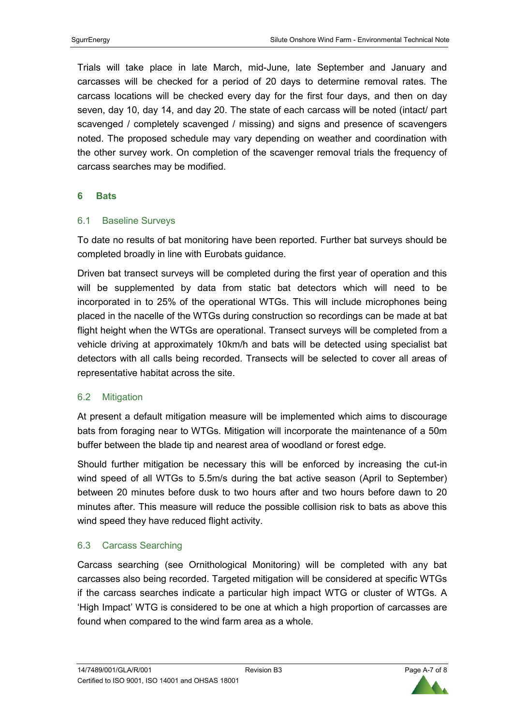Trials will take place in late March, mid-June, late September and January and carcasses will be checked for a period of 20 days to determine removal rates. The carcass locations will be checked every day for the first four days, and then on day seven, day 10, day 14, and day 20. The state of each carcass will be noted (intact/ part scavenged / completely scavenged / missing) and signs and presence of scavengers noted. The proposed schedule may vary depending on weather and coordination with the other survey work. On completion of the scavenger removal trials the frequency of carcass searches may be modified.

#### **6 Bats**

## 6.1 Baseline Surveys

To date no results of bat monitoring have been reported. Further bat surveys should be completed broadly in line with Eurobats guidance.

Driven bat transect surveys will be completed during the first year of operation and this will be supplemented by data from static bat detectors which will need to be incorporated in to 25% of the operational WTGs. This will include microphones being placed in the nacelle of the WTGs during construction so recordings can be made at bat flight height when the WTGs are operational. Transect surveys will be completed from a vehicle driving at approximately 10km/h and bats will be detected using specialist bat detectors with all calls being recorded. Transects will be selected to cover all areas of representative habitat across the site.

## 6.2 Mitigation

At present a default mitigation measure will be implemented which aims to discourage bats from foraging near to WTGs. Mitigation will incorporate the maintenance of a 50m buffer between the blade tip and nearest area of woodland or forest edge.

Should further mitigation be necessary this will be enforced by increasing the cut-in wind speed of all WTGs to 5.5m/s during the bat active season (April to September) between 20 minutes before dusk to two hours after and two hours before dawn to 20 minutes after. This measure will reduce the possible collision risk to bats as above this wind speed they have reduced flight activity.

## 6.3 Carcass Searching

Carcass searching (see Ornithological Monitoring) will be completed with any bat carcasses also being recorded. Targeted mitigation will be considered at specific WTGs if the carcass searches indicate a particular high impact WTG or cluster of WTGs. A 'High Impact' WTG is considered to be one at which a high proportion of carcasses are found when compared to the wind farm area as a whole.